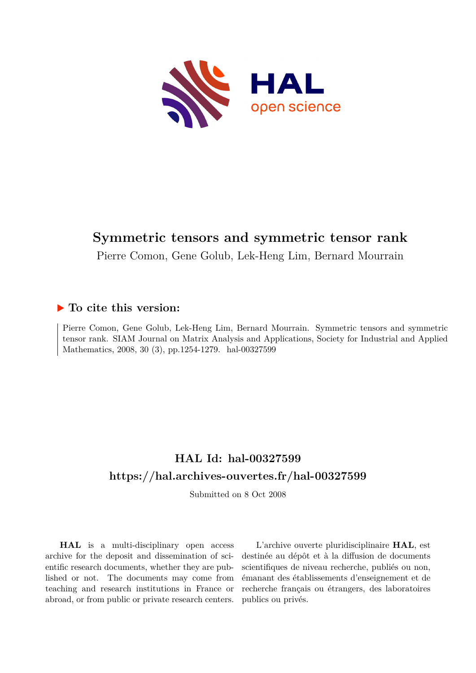

# **Symmetric tensors and symmetric tensor rank**

Pierre Comon, Gene Golub, Lek-Heng Lim, Bernard Mourrain

## **To cite this version:**

Pierre Comon, Gene Golub, Lek-Heng Lim, Bernard Mourrain. Symmetric tensors and symmetric tensor rank. SIAM Journal on Matrix Analysis and Applications, Society for Industrial and Applied Mathematics, 2008, 30 (3), pp.1254-1279. hal-00327599

# **HAL Id: hal-00327599 <https://hal.archives-ouvertes.fr/hal-00327599>**

Submitted on 8 Oct 2008

**HAL** is a multi-disciplinary open access archive for the deposit and dissemination of scientific research documents, whether they are published or not. The documents may come from teaching and research institutions in France or abroad, or from public or private research centers.

L'archive ouverte pluridisciplinaire **HAL**, est destinée au dépôt et à la diffusion de documents scientifiques de niveau recherche, publiés ou non, émanant des établissements d'enseignement et de recherche français ou étrangers, des laboratoires publics ou privés.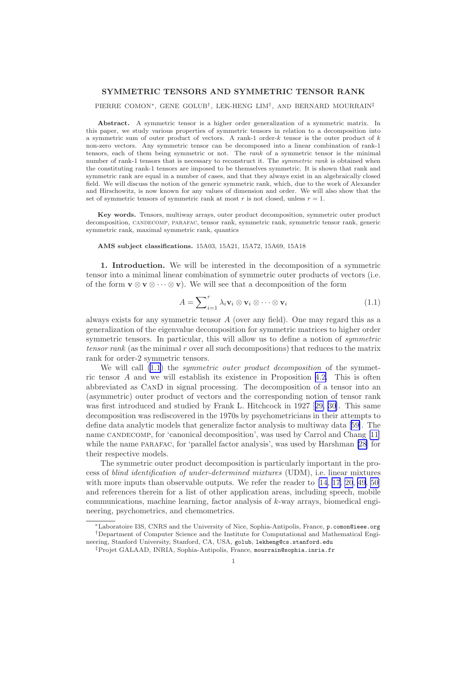### <span id="page-1-0"></span>SYMMETRIC TENSORS AND SYMMETRIC TENSOR RANK

### PIERRE COMON∗, GENE GOLUB† , LEK-HENG LIM† , AND BERNARD MOURRAIN‡

Abstract. A symmetric tensor is a higher order generalization of a symmetric matrix. In this paper, we study various properties of symmetric tensors in relation to a decomposition into a symmetric sum of outer product of vectors. A rank-1 order-k tensor is the outer product of k non-zero vectors. Any symmetric tensor can be decomposed into a linear combination of rank-1 tensors, each of them being symmetric or not. The rank of a symmetric tensor is the minimal number of rank-1 tensors that is necessary to reconstruct it. The symmetric rank is obtained when the constituting rank-1 tensors are imposed to be themselves symmetric. It is shown that rank and symmetric rank are equal in a number of cases, and that they always exist in an algebraically closed field. We will discuss the notion of the generic symmetric rank, which, due to the work of Alexander and Hirschowitz, is now known for any values of dimension and order. We will also show that the set of symmetric tensors of symmetric rank at most r is not closed, unless  $r = 1$ .

Key words. Tensors, multiway arrays, outer product decomposition, symmetric outer product decomposition, candecomp, parafac, tensor rank, symmetric rank, symmetric tensor rank, generic symmetric rank, maximal symmetric rank, quantics

AMS subject classifications. 15A03, 15A21, 15A72, 15A69, 15A18

1. Introduction. We will be interested in the decomposition of a symmetric tensor into a minimal linear combination of symmetric outer products of vectors (i.e. of the form  $\mathbf{v} \otimes \mathbf{v} \otimes \cdots \otimes \mathbf{v}$ . We will see that a decomposition of the form

$$
A = \sum_{i=1}^{r} \lambda_i \mathbf{v}_i \otimes \mathbf{v}_i \otimes \cdots \otimes \mathbf{v}_i
$$
 (1.1)

always exists for any symmetric tensor A (over any field). One may regard this as a generalization of the eigenvalue decomposition for symmetric matrices to higher order symmetric tensors. In particular, this will allow us to define a notion of symmetric tensor rank (as the minimal r over all such decompositions) that reduces to the matrix rank for order-2 symmetric tensors.

We will call  $(1.1)$  the *symmetric outer product decomposition* of the symmetric tensor A and we will establish its existence in Proposition [4.2.](#page-10-0) This is often abbreviated as CanD in signal processing. The decomposition of a tensor into an (asymmetric) outer product of vectors and the corresponding notion of tensor rank was first introduced and studied by Frank L. Hitchcock in 1927 [[29, 30\]](#page-25-0). This same decomposition was rediscovered in the 1970s by psychometricians in their attempts to define data analytic models that generalize factor analysis to multiway data[[59\]](#page-26-0). The name CANDECOMP, for 'canonical decomposition', was used by Carrol and Chang [\[11](#page-24-0)] while the name parafac, for 'parallel factor analysis', was used by Harshman [\[28](#page-25-0)] for their respective models.

The symmetric outer product decomposition is particularly important in the process of blind identification of under-determined mixtures (UDM), i.e. linear mixtures with more inputs than observable outputs. We refer the reader to [\[14](#page-24-0), [17](#page-24-0), [20](#page-25-0), [49](#page-26-0), [50](#page-26-0)] and references therein for a list of other application areas, including speech, mobile communications, machine learning, factor analysis of  $k$ -way arrays, biomedical engineering, psychometrics, and chemometrics.

<sup>∗</sup>Laboratoire I3S, CNRS and the University of Nice, Sophia-Antipolis, France, p.comon@ieee.org †Department of Computer Science and the Institute for Computational and Mathematical Engineering, Stanford University, Stanford, CA, USA, golub, lekheng@cs.stanford.edu

<sup>‡</sup>Projet GALAAD, INRIA, Sophia-Antipolis, France, mourrain@sophia.inria.fr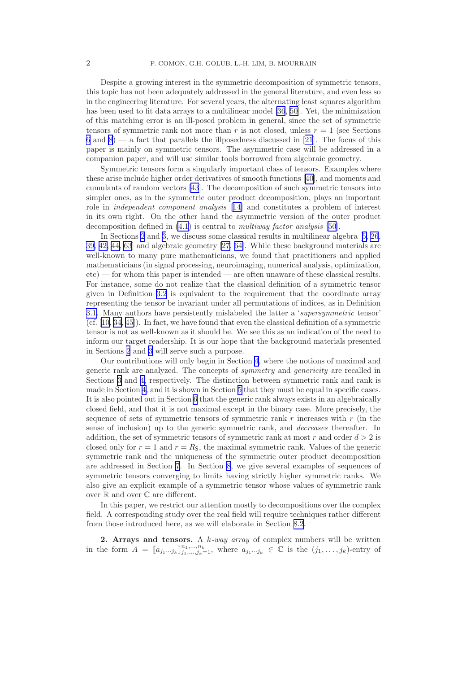<span id="page-2-0"></span>Despite a growing interest in the symmetric decomposition of symmetric tensors, this topic has not been adequately addressed in the general literature, and even less so in the engineering literature. For several years, the alternating least squares algorithm has been used to fit data arrays to a multilinear model [\[36](#page-25-0), [50\]](#page-26-0). Yet, the minimization of this matching error is an ill-posed problem in general, since the set of symmetric tensors of symmetric rank not more than r is not closed, unless  $r = 1$  (see Sections [6](#page-16-0) and [8](#page-21-0)) — a fact that parallels the illposedness discussed in [\[21](#page-25-0)]. The focus of this paper is mainly on symmetric tensors. The asymmetric case will be addressed in a companion paper, and will use similar tools borrowed from algebraic geometry.

Symmetric tensors form a singularly important class of tensors. Examples where these arise include higher order derivatives of smooth functions[[40\]](#page-25-0), and moments and cumulants of random vectors [\[43](#page-25-0)]. The decomposition of such symmetric tensors into simpler ones, as in the symmetric outer product decomposition, plays an important role in independent component analysis [[14\]](#page-24-0) and constitutes a problem of interest in its own right. On the other hand the asymmetric version of the outer product decomposition defined in [\(4.1](#page-9-0)) is central to multiway factor analysis [\[50](#page-26-0)].

In Sections 2 and [3](#page-4-0), we discuss some classical results in multilinear algebra[[5,](#page-24-0) [26](#page-25-0), [39, 42, 44,](#page-25-0) [63](#page-26-0)] and algebraic geometry[[27,](#page-25-0) [64\]](#page-26-0). While these background materials are well-known to many pure mathematicians, we found that practitioners and applied mathematicians (in signal processing, neuroimaging, numerical analysis, optimization, etc) — for whom this paper is intended — are often unaware of these classical results. For instance, some do not realize that the classical definition of a symmetric tensor given in Definition [3.2](#page-5-0) is equivalent to the requirement that the coordinate array representing the tensor be invariant under all permutations of indices, as in Definition [3.1.](#page-4-0) Many authors have persistently mislabeled the latter a 'supersymmetric tensor' (cf. [\[10](#page-24-0), [34](#page-25-0), [45](#page-25-0)]). In fact, we have found that even the classical definition of a symmetric tensor is not as well-known as it should be. We see this as an indication of the need to inform our target readership. It is our hope that the background materials presented in Sections 2 and [3](#page-4-0) will serve such a purpose.

Our contributions will only begin in Section [4,](#page-9-0) where the notions of maximal and generic rank are analyzed. The concepts of symmetry and genericity are recalled in Sections [3](#page-4-0) and [4,](#page-9-0) respectively. The distinction between symmetric rank and rank is made in Section [4,](#page-9-0) and it is shown in Section [5](#page-12-0) that they must be equal in specific cases. It is also pointed out in Section [6](#page-16-0) that the generic rank always exists in an algebraically closed field, and that it is not maximal except in the binary case. More precisely, the sequence of sets of symmetric tensors of symmetric rank r increases with r (in the sense of inclusion) up to the generic symmetric rank, and decreases thereafter. In addition, the set of symmetric tensors of symmetric rank at most r and order  $d > 2$  is closed only for  $r = 1$  and  $r = R<sub>S</sub>$ , the maximal symmetric rank. Values of the generic symmetric rank and the uniqueness of the symmetric outer product decomposition are addressed in Section [7](#page-19-0). In Section [8](#page-21-0), we give several examples of sequences of symmetric tensors converging to limits having strictly higher symmetric ranks. We also give an explicit example of a symmetric tensor whose values of symmetric rank over R and over C are different.

In this paper, we restrict our attention mostly to decompositions over the complex field. A corresponding study over the real field will require techniques rather different from those introduced here, as we will elaborate in Section [8.2](#page-22-0).

2. Arrays and tensors. A  $k$ -way array of complex numbers will be written in the form  $A = [a_{j_1\cdots j_k}]_{j_1,\ldots,j_k=1}^{n_1,\ldots,n_k}$ , where  $a_{j_1\cdots j_k} \in \mathbb{C}$  is the  $(j_1,\ldots,j_k)$ -entry of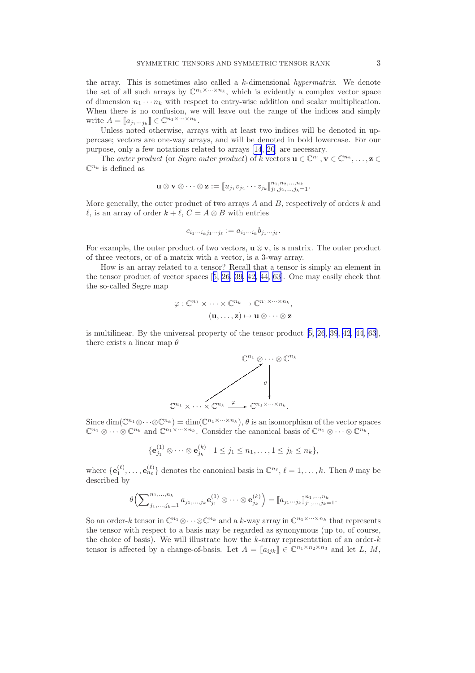the array. This is sometimes also called a  $k$ -dimensional *hypermatrix*. We denote the set of all such arrays by  $\mathbb{C}^{n_1 \times \cdots \times n_k}$ , which is evidently a complex vector space of dimension  $n_1 \cdots n_k$  with respect to entry-wise addition and scalar multiplication. When there is no confusion, we will leave out the range of the indices and simply write  $A = [a_{j_1 \cdots j_k}] \in \mathbb{C}^{n_1 \times \cdots \times n_k}$ .

Unless noted otherwise, arrays with at least two indices will be denoted in uppercase; vectors are one-way arrays, and will be denoted in bold lowercase. For our purpose, only a few notations related to arrays [\[14](#page-24-0), [20](#page-25-0)] are necessary.

The *outer product* (or *Segre outer product*) of k vectors  $\mathbf{u} \in \mathbb{C}^{n_1}, \mathbf{v} \in \mathbb{C}^{n_2}, \ldots, \mathbf{z} \in$  $\mathbb{C}^{n_k}$  is defined as

$$
\mathbf{u} \otimes \mathbf{v} \otimes \cdots \otimes \mathbf{z} := [ \![u_{j_1}v_{j_2}\cdots z_{j_k}]\!]_{j_1,j_2,\ldots,j_k=1}^{n_1,n_2,\ldots,n_k}.
$$

More generally, the outer product of two arrays  $A$  and  $B$ , respectively of orders  $k$  and  $\ell$ , is an array of order  $k + \ell$ ,  $C = A \otimes B$  with entries

$$
c_{i_1\cdots i_kj_1\cdots j_\ell} := a_{i_1\cdots i_k}b_{j_1\cdots j_\ell}.
$$

For example, the outer product of two vectors,  $\mathbf{u} \otimes \mathbf{v}$ , is a matrix. The outer product of three vectors, or of a matrix with a vector, is a 3-way array.

How is an array related to a tensor? Recall that a tensor is simply an element in the tensor product of vector spaces[[5,](#page-24-0) [26, 39, 42, 44,](#page-25-0) [63\]](#page-26-0). One may easily check that the so-called Segre map

$$
\varphi: \mathbb{C}^{n_1} \times \cdots \times \mathbb{C}^{n_k} \to \mathbb{C}^{n_1 \times \cdots \times n_k},
$$

$$
(\mathbf{u}, \dots, \mathbf{z}) \mapsto \mathbf{u} \otimes \cdots \otimes \mathbf{z}
$$

is multilinear. By the universal property of the tensor product [\[5](#page-24-0), [26](#page-25-0), [39](#page-25-0), [42](#page-25-0), [44](#page-25-0), [63](#page-26-0)], there exists a linear map  $\theta$ 



Since  $\dim(\mathbb{C}^{n_1}\otimes\cdots\otimes\mathbb{C}^{n_k}) = \dim(\mathbb{C}^{n_1\times\cdots\times n_k}), \theta$  is an isomorphism of the vector spaces  $\mathbb{C}^{n_1} \otimes \cdots \otimes \mathbb{C}^{n_k}$  and  $\mathbb{C}^{n_1 \times \cdots \times n_k}$ . Consider the canonical basis of  $\mathbb{C}^{n_1} \otimes \cdots \otimes \mathbb{C}^{n_k}$ ,

$$
\{\mathbf e_{j_1}^{(1)} \otimes \cdots \otimes \mathbf e_{j_k}^{(k)} \mid 1 \leq j_1 \leq n_1,\ldots, 1 \leq j_k \leq n_k\},\
$$

where  $\{\mathbf{e}_1^{(\ell)}, \ldots, \mathbf{e}_{n_\ell}^{(\ell)}\}$  denotes the canonical basis in  $\mathbb{C}^{n_\ell}, \ell = 1, \ldots, k$ . Then  $\theta$  may be described by

$$
\theta\left(\sum\nolimits_{j_1,...,j_k=1}^{n_1,...,n_k} a_{j_1,...,j_k} \mathbf{e}_{j_1}^{(1)} \otimes \cdots \otimes \mathbf{e}_{j_k}^{(k)}\right) = [a_{j_1...j_k}]_{j_1,...,j_k=1}^{n_1,...,n_k}.
$$

So an order-k tensor in  $\mathbb{C}^{n_1}\otimes\cdots\otimes\mathbb{C}^{n_k}$  and a k-way array in  $\mathbb{C}^{n_1\times\cdots\times n_k}$  that represents the tensor with respect to a basis may be regarded as synonymous (up to, of course, the choice of basis). We will illustrate how the  $k$ -array representation of an order- $k$ tensor is affected by a change-of-basis. Let  $A = [a_{ijk}] \in \mathbb{C}^{n_1 \times n_2 \times n_3}$  and let L, M,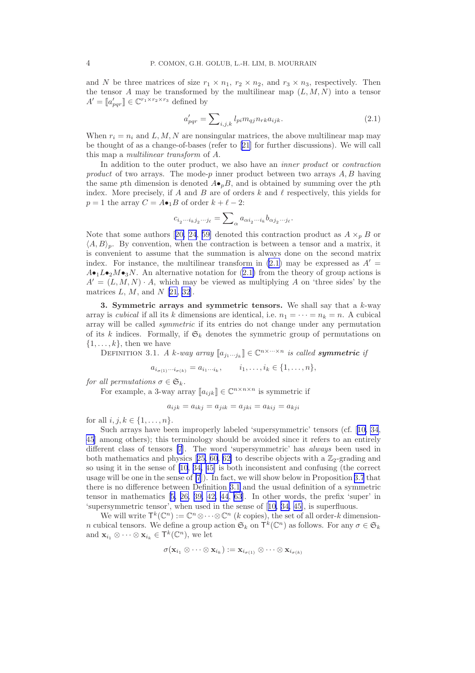<span id="page-4-0"></span>and N be three matrices of size  $r_1 \times n_1$ ,  $r_2 \times n_2$ , and  $r_3 \times n_3$ , respectively. Then the tensor A may be transformed by the multilinear map  $(L, M, N)$  into a tensor  $A' = \llbracket a'_{pqr} \rrbracket \in \mathbb{C}^{r_1 \times r_2 \times r_3}$  defined by

$$
a'_{pqr} = \sum_{i,j,k} l_{pi} m_{qj} n_{rk} a_{ijk}.
$$
\n(2.1)

When  $r_i = n_i$  and L, M, N are nonsingular matrices, the above multilinear map may be thought of as a change-of-bases (refer to [\[21\]](#page-25-0) for further discussions). We will call this map a multilinear transform of A.

In addition to the outer product, we also have an inner product or contraction product of two arrays. The mode-p inner product between two arrays  $A, B$  having the same pth dimension is denoted  $A\bullet_p B$ , and is obtained by summing over the pth index. More precisely, if A and B are of orders k and  $\ell$  respectively, this yields for  $p = 1$  the array  $C = A \bullet_1 B$  of order  $k + \ell - 2$ :

$$
c_{i_2\cdots i_k j_2\cdots j_\ell} = \sum\nolimits_{\alpha} a_{\alpha i_2\cdots i_k} b_{\alpha j_2\cdots j_\ell}.
$$

Notethat some authors [[20, 24](#page-25-0), [59\]](#page-26-0) denoted this contraction product as  $A \times_p B$  or  $\langle A, B \rangle_p$ . By convention, when the contraction is between a tensor and a matrix, it is convenient to assume that the summation is always done on the second matrix index. For instance, the multilinear transform in  $(2.1)$  may be expressed as  $A' =$  $A\bullet_1L\bullet_2M\bullet_3N$ . An alternative notation for (2.1) from the theory of group actions is  $A' = (L, M, N) \cdot A$ , which may be viewed as multiplying A on 'three sides' by the matrices  $L, M$ , and  $N$  [\[21](#page-25-0), [32](#page-25-0)].

3. Symmetric arrays and symmetric tensors. We shall say that a  $k$ -way array is *cubical* if all its k dimensions are identical, i.e.  $n_1 = \cdots = n_k = n$ . A cubical array will be called symmetric if its entries do not change under any permutation of its k indices. Formally, if  $\mathfrak{S}_k$  denotes the symmetric group of permutations on  $\{1, \ldots, k\}$ , then we have

DEFINITION 3.1. A k-way array  $[\![a_{j_1\cdots j_k}]\!] \in \mathbb{C}^{n \times \cdots \times n}$  is called symmetric if

$$
a_{i_{\sigma(1)}\cdots i_{\sigma(k)}} = a_{i_1\cdots i_k}, \qquad i_1, \ldots, i_k \in \{1, \ldots, n\},\
$$

for all permutations  $\sigma \in \mathfrak{S}_k$ .

For example, a 3-way array  $[\![a_{ijk}]\!] \in \mathbb{C}^{n \times n \times n}$  is symmetric if

$$
a_{ijk} = a_{ikj} = a_{jik} = a_{jki} = a_{kij} = a_{kji}
$$

for all  $i, j, k \in \{1, ..., n\}$ .

Such arrays have been improperly labeled 'supersymmetric' tensors (cf.[[10,](#page-24-0) [34](#page-25-0), [45\]](#page-25-0) among others); this terminology should be avoided since it refers to an entirely different class of tensors [\[7](#page-24-0)]. The word 'supersymmetric' has always been used in bothmathematics and physics [[25,](#page-25-0) [60, 62\]](#page-26-0) to describe objects with a  $\mathbb{Z}_2$ -grading and so using it in the sense of [\[10](#page-24-0), [34, 45\]](#page-25-0) is both inconsistent and confusing (the correct usage will be one in the sense of [\[7](#page-24-0)]). In fact, we will show below in Proposition [3.7](#page-8-0) that there is no difference between Definition 3.1 and the usual definition of a symmetric tensor in mathematics[[5,](#page-24-0) [26, 39, 42, 44](#page-25-0), [63](#page-26-0)]. In other words, the prefix 'super' in 'supersymmetric tensor', when used in the sense of[[10,](#page-24-0) [34, 45\]](#page-25-0), is superfluous.

We will write  $\mathsf{T}^k(\mathbb{C}^n) := \mathbb{C}^n \otimes \cdots \otimes \mathbb{C}^n$  (k copies), the set of all order-k dimension*n* cubical tensors. We define a group action  $\mathfrak{S}_k$  on  $\mathsf{T}^k(\mathbb{C}^n)$  as follows. For any  $\sigma \in \mathfrak{S}_k$ and  $\mathbf{x}_{i_1} \otimes \cdots \otimes \mathbf{x}_{i_k} \in \mathsf{T}^k(\mathbb{C}^n)$ , we let

$$
\sigma(\mathbf{x}_{i_1} \otimes \cdots \otimes \mathbf{x}_{i_k}) := \mathbf{x}_{i_{\sigma(1)}} \otimes \cdots \otimes \mathbf{x}_{i_{\sigma(k)}}
$$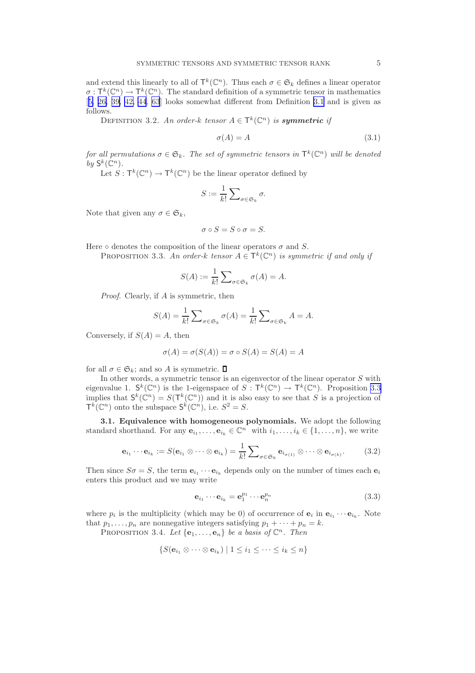<span id="page-5-0"></span>and extend this linearly to all of  $\mathsf{T}^k(\mathbb{C}^n)$ . Thus each  $\sigma \in \mathfrak{S}_k$  defines a linear operator  $\sigma: \mathsf{T}^k(\mathbb{C}^n) \to \mathsf{T}^k(\mathbb{C}^n)$ . The standard definition of a symmetric tensor in mathematics [[5,](#page-24-0) [26, 39, 42, 44](#page-25-0), [63](#page-26-0)] looks somewhat different from Definition [3.1](#page-4-0) and is given as follows.

DEFINITION 3.2. An order-k tensor  $A \in \mathsf{T}^k(\mathbb{C}^n)$  is **symmetric** if

$$
\sigma(A) = A \tag{3.1}
$$

for all permutations  $\sigma \in \mathfrak{S}_k$ . The set of symmetric tensors in  $\mathsf{T}^k(\mathbb{C}^n)$  will be denoted by  $\mathsf{S}^k(\mathbb{C}^n)$ .

Let  $S: \mathsf{T}^k(\mathbb{C}^n) \to \mathsf{T}^k(\mathbb{C}^n)$  be the linear operator defined by

$$
S := \frac{1}{k!} \sum_{\sigma \in \mathfrak{S}_k} \sigma.
$$

Note that given any  $\sigma \in \mathfrak{S}_k$ ,

$$
\sigma \circ S = S \circ \sigma = S.
$$

Here  $\circ$  denotes the composition of the linear operators  $\sigma$  and S.

PROPOSITION 3.3. An order-k tensor  $A \in \mathsf{T}^k(\mathbb{C}^n)$  is symmetric if and only if

$$
S(A) := \frac{1}{k!} \sum_{\sigma \in \mathfrak{S}_k} \sigma(A) = A.
$$

Proof. Clearly, if A is symmetric, then

$$
S(A) = \frac{1}{k!} \sum_{\sigma \in \mathfrak{S}_k} \sigma(A) = \frac{1}{k!} \sum_{\sigma \in \mathfrak{S}_k} A = A.
$$

Conversely, if  $S(A) = A$ , then

$$
\sigma(A) = \sigma(S(A)) = \sigma \circ S(A) = S(A) = A
$$

for all  $\sigma \in \mathfrak{S}_k$ ; and so A is symmetric.  $\Box$ 

In other words, a symmetric tensor is an eigenvector of the linear operator  $S$  with eigenvalue 1.  $\mathsf{S}^k(\mathbb{C}^n)$  is the 1-eigenspace of  $S: \mathsf{T}^k(\mathbb{C}^n) \to \mathsf{T}^k(\mathbb{C}^n)$ . Proposition 3.3 implies that  $S^k(\mathbb{C}^n) = S(T^k(\mathbb{C}^n))$  and it is also easy to see that S is a projection of  $\mathsf{T}^k(\mathbb{C}^n)$  onto the subspace  $\mathsf{S}^k(\mathbb{C}^n)$ , i.e.  $S^2 = S$ .

3.1. Equivalence with homogeneous polynomials. We adopt the following standard shorthand. For any  $e_{i_1}, \ldots, e_{i_k} \in \mathbb{C}^n$  with  $i_1, \ldots, i_k \in \{1, \ldots, n\}$ , we write

$$
\mathbf{e}_{i_1} \cdots \mathbf{e}_{i_k} := S(\mathbf{e}_{i_1} \otimes \cdots \otimes \mathbf{e}_{i_k}) = \frac{1}{k!} \sum_{\sigma \in \mathfrak{S}_k} \mathbf{e}_{i_{\sigma(1)}} \otimes \cdots \otimes \mathbf{e}_{i_{\sigma(k)}}.
$$
(3.2)

Then since  $S\sigma = S$ , the term  $\mathbf{e}_{i_1} \cdots \mathbf{e}_{i_k}$  depends only on the number of times each  $\mathbf{e}_i$ enters this product and we may write

$$
\mathbf{e}_{i_1} \cdots \mathbf{e}_{i_k} = \mathbf{e}_1^{p_1} \cdots \mathbf{e}_n^{p_n}
$$
 (3.3)

where  $p_i$  is the multiplicity (which may be 0) of occurrence of  $\mathbf{e}_i$  in  $\mathbf{e}_{i_1} \cdots \mathbf{e}_{i_k}$ . Note that  $p_1, \ldots, p_n$  are nonnegative integers satisfying  $p_1 + \cdots + p_n = k$ .

PROPOSITION 3.4. Let  $\{e_1, \ldots, e_n\}$  be a basis of  $\mathbb{C}^n$ . Then

$$
\{S(\mathbf{e}_{i_1} \otimes \cdots \otimes \mathbf{e}_{i_k}) \mid 1 \leq i_1 \leq \cdots \leq i_k \leq n\}
$$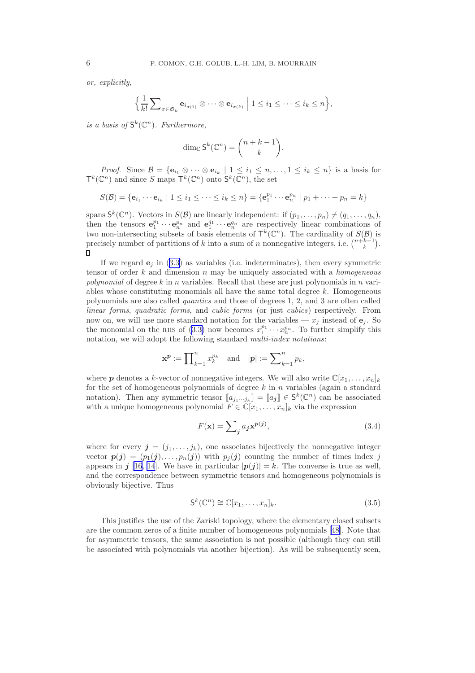<span id="page-6-0"></span>or, explicitly,

$$
\Big\{\frac{1}{k!}\sum\nolimits_{\sigma\in\mathfrak{S}_k}\mathbf{e}_{i_{\sigma(1)}}\otimes\cdots\otimes\mathbf{e}_{i_{\sigma(k)}}\ \Big|\ 1\leq i_1\leq\cdots\leq i_k\leq n\Big\},\
$$

is a basis of  $\mathsf{S}^k(\mathbb{C}^n)$ . Furthermore,

$$
\dim_{\mathbb{C}} \mathsf{S}^k(\mathbb{C}^n) = \binom{n+k-1}{k}.
$$

*Proof.* Since  $\mathcal{B} = \{ \mathbf{e}_{i_1} \otimes \cdots \otimes \mathbf{e}_{i_k} \mid 1 \leq i_1 \leq n, \ldots, 1 \leq i_k \leq n \}$  is a basis for  $\mathsf{T}^k(\mathbb{C}^n)$  and since S maps  $\mathsf{T}^k(\mathbb{C}^n)$  onto  $\mathsf{S}^k(\mathbb{C}^n)$ , the set

$$
S(\mathcal{B}) = \{ \mathbf{e}_{i_1} \cdots \mathbf{e}_{i_k} \mid 1 \leq i_1 \leq \cdots \leq i_k \leq n \} = \{ \mathbf{e}_1^{p_1} \cdots \mathbf{e}_n^{p_n} \mid p_1 + \cdots + p_n = k \}
$$

spans  $\mathsf{S}^k(\mathbb{C}^n)$ . Vectors in  $S(\mathcal{B})$  are linearly independent: if  $(p_1,\ldots,p_n) \neq (q_1,\ldots,q_n)$ , then the tensors  $\mathbf{e}_1^{p_1} \cdots \mathbf{e}_n^{p_n}$  and  $\mathbf{e}_1^{q_1} \cdots \mathbf{e}_n^{q_n}$  are respectively linear combinations of two non-intersecting subsets of basis elements of  $\mathsf{T}^k(\mathbb{C}^n)$ . The cardinality of  $S(\mathcal{B})$  is precisely number of partitions of k into a sum of n nonnegative integers, i.e.  $\binom{n+k-1}{k}$ .  $\Box$ 

If we regard  $e_j$  in [\(3.3\)](#page-5-0) as variables (i.e. indeterminates), then every symmetric tensor of order  $k$  and dimension  $n$  may be uniquely associated with a *homogeneous* polynomial of degree k in n variables. Recall that these are just polynomials in n variables whose constituting monomials all have the same total degree  $k$ . Homogeneous polynomials are also called quantics and those of degrees 1, 2, and 3 are often called linear forms, quadratic forms, and cubic forms (or just cubics) respectively. From now on, we will use more standard notation for the variables —  $x_i$  instead of  $e_i$ . So the monomial on the RHS of [\(3.3\)](#page-5-0) now becomes  $x_1^{p_1} \cdots x_n^{p_n}$ . To further simplify this notation, we will adopt the following standard *multi-index notations*:

$$
\mathbf{x}^{\mathbf{p}} := \prod\nolimits_{k=1}^n x_k^{p_k} \quad \text{and} \quad |\mathbf{p}| := \sum\nolimits_{k=1}^n p_k,
$$

where **p** denotes a k-vector of nonnegative integers. We will also write  $\mathbb{C}[x_1, \ldots, x_n]_k$ for the set of homogeneous polynomials of degree  $k$  in n variables (again a standard notation). Then any symmetric tensor  $[\![a_{j_1\cdots j_k}]\!] = [\![a_j]\!] \in S^k(\mathbb{C}^n)$  can be associated with a unique homogeneous polynomial  $F \in \mathbb{C}[x_1, \ldots, x_n]_k$  via the expression

$$
F(\mathbf{x}) = \sum_{j} a_j \mathbf{x}^{p(j)},\tag{3.4}
$$

where for every  $\mathbf{j} = (j_1, \ldots, j_k)$ , one associates bijectively the nonnegative integer vector  $p(j) = (p_1(j), \ldots, p_n(j))$  with  $p_j(j)$  counting the number of times index j appears in j [\[16](#page-24-0), [14](#page-24-0)]. We have in particular  $|p(j)| = k$ . The converse is true as well, and the correspondence between symmetric tensors and homogeneous polynomials is obviously bijective. Thus

$$
\mathsf{S}^k(\mathbb{C}^n) \cong \mathbb{C}[x_1,\ldots,x_n]_k. \tag{3.5}
$$

This justifies the use of the Zariski topology, where the elementary closed subsets are the common zeros of a finite number of homogeneous polynomials [\[48](#page-25-0)]. Note that for asymmetric tensors, the same association is not possible (although they can still be associated with polynomials via another bijection). As will be subsequently seen,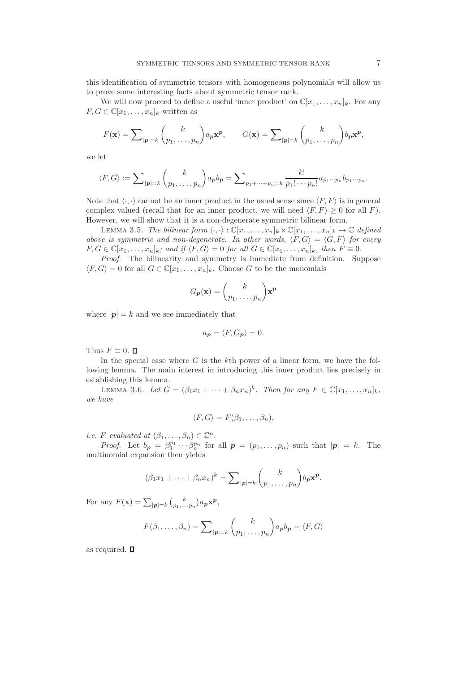<span id="page-7-0"></span>this identification of symmetric tensors with homogeneous polynomials will allow us to prove some interesting facts about symmetric tensor rank.

We will now proceed to define a useful 'inner product' on  $\mathbb{C}[x_1, \ldots, x_n]_k$ . For any  $F, G \in \mathbb{C}[x_1, \ldots, x_n]_k$  written as

$$
F(\mathbf{x}) = \sum_{|\mathbf{p}|=k} {k \choose p_1, \dots, p_n} a_{\mathbf{p}} \mathbf{x}^{\mathbf{p}}, \qquad G(\mathbf{x}) = \sum_{|\mathbf{p}|=k} {k \choose p_1, \dots, p_n} b_{\mathbf{p}} \mathbf{x}^{\mathbf{p}},
$$

we let

$$
\langle F, G \rangle := \sum_{|\boldsymbol{p}|=k} {k \choose p_1, \ldots, p_n} a_{\boldsymbol{p}} b_{\boldsymbol{p}} = \sum_{p_1 + \cdots + p_n = k} \frac{k!}{p_1! \cdots p_n!} a_{p_1 \cdots p_n} b_{p_1 \cdots p_n}.
$$

Note that  $\langle \cdot, \cdot \rangle$  cannot be an inner product in the usual sense since  $\langle F, F \rangle$  is in general complex valued (recall that for an inner product, we will need  $\langle F, F \rangle \geq 0$  for all F). However, we will show that it is a non-degenerate symmetric bilinear form.

LEMMA 3.5. The bilinear form  $\langle \cdot, \cdot \rangle : \mathbb{C}[x_1, \ldots, x_n]_k \times \mathbb{C}[x_1, \ldots, x_n]_k \to \mathbb{C}$  defined above is symmetric and non-degenerate. In other words,  $\langle F, G \rangle = \langle G, F \rangle$  for every  $F, G \in \mathbb{C}[x_1, \ldots, x_n]_k$ ; and if  $\langle F, G \rangle = 0$  for all  $G \in \mathbb{C}[x_1, \ldots, x_n]_k$ , then  $F \equiv 0$ .

Proof. The bilinearity and symmetry is immediate from definition. Suppose  $\langle F, G \rangle = 0$  for all  $G \in \mathbb{C}[x_1, \ldots, x_n]_k$ . Choose G to be the monomials

$$
G_{p}(\mathbf{x}) = {k \choose p_{1}, \dots, p_{n}} \mathbf{x}^{p}
$$

where  $|\mathbf{p}| = k$  and we see immediately that

$$
a_{p} = \langle F, G_{p} \rangle = 0.
$$

Thus  $F \equiv 0$ .  $\Box$ 

In the special case where  $G$  is the kth power of a linear form, we have the following lemma. The main interest in introducing this inner product lies precisely in establishing this lemma.

LEMMA 3.6. Let  $G = (\beta_1 x_1 + \cdots + \beta_n x_n)^k$ . Then for any  $F \in \mathbb{C}[x_1, \ldots, x_n]_k$ , we have

$$
\langle F, G \rangle = F(\beta_1, \ldots, \beta_n),
$$

*i.e.* F evaluated at  $(\beta_1, \ldots, \beta_n) \in \mathbb{C}^n$ .

*Proof.* Let  $b_p = \beta_1^{p_1} \cdots \beta_n^{p_n}$  for all  $p = (p_1, \ldots, p_n)$  such that  $|p| = k$ . The multinomial expansion then yields

$$
(\beta_1 x_1 + \dots + \beta_n x_n)^k = \sum_{|\boldsymbol{p}|=k} {k \choose p_1, \dots, p_n} b_{\boldsymbol{p}} \mathbf{x}^{\boldsymbol{p}}.
$$

For any  $F(\mathbf{x}) = \sum_{|\mathbf{p}|=k} {k \choose p_1,...,p_n} a_{\mathbf{p}} \mathbf{x}^{\mathbf{p}},$ 

$$
F(\beta_1,\ldots,\beta_n)=\sum\nolimits_{|\boldsymbol{p}|=k}\binom{k}{p_1,\ldots,p_n}a_{\boldsymbol{p}}b_{\boldsymbol{p}}=\langle F,G\rangle
$$

as required.  $\square$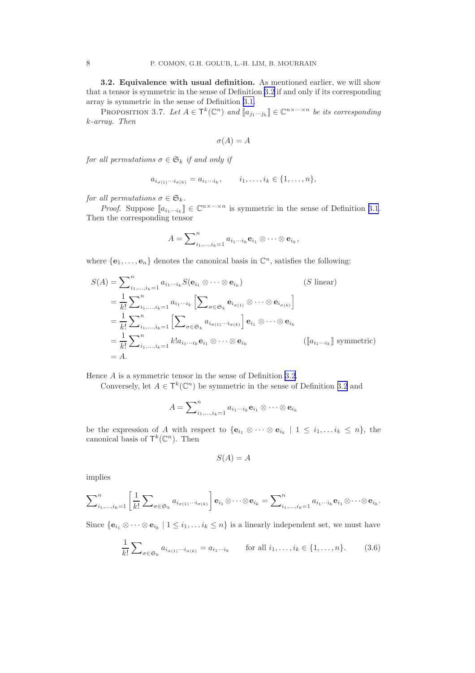<span id="page-8-0"></span>3.2. Equivalence with usual definition. As mentioned earlier, we will show that a tensor is symmetric in the sense of Definition [3.2](#page-5-0) if and only if its corresponding array is symmetric in the sense of Definition [3.1.](#page-4-0)

PROPOSITION 3.7. Let  $A \in \mathsf{T}^k(\mathbb{C}^n)$  and  $[\![a_{j_1\cdots j_k}]\!] \in \mathbb{C}^{n \times \cdots \times n}$  be its corresponding k-array. Then

$$
\sigma(A) = A
$$

for all permutations  $\sigma \in \mathfrak{S}_k$  if and only if

$$
a_{i_{\sigma(1)}\cdots i_{\sigma(k)}} = a_{i_1\cdots i_k}, \qquad i_1, \ldots, i_k \in \{1, \ldots, n\},\
$$

for all permutations  $\sigma \in \mathfrak{S}_k$ .

*Proof.* Suppose  $[a_{i_1\cdots i_k}] \in \mathbb{C}^{n \times \cdots \times n}$  is symmetric in the sense of Definition [3.1](#page-4-0). Then the corresponding tensor

$$
A = \sum_{i_1,\dots,i_k=1}^n a_{i_1\cdots i_k} \mathbf{e}_{i_1} \otimes \cdots \otimes \mathbf{e}_{i_k},
$$

where  $\{e_1, \ldots, e_n\}$  denotes the canonical basis in  $\mathbb{C}^n$ , satisfies the following:

$$
S(A) = \sum_{i_1, \dots, i_k=1}^{n} a_{i_1 \cdots i_k} S(\mathbf{e}_{i_1} \otimes \cdots \otimes \mathbf{e}_{i_k})
$$
 (S linear)  
\n
$$
= \frac{1}{k!} \sum_{i_1, \dots, i_k=1}^{n} a_{i_1 \cdots i_k} \left[ \sum_{\sigma \in \mathfrak{S}_k} \mathbf{e}_{i_{\sigma(1)}} \otimes \cdots \otimes \mathbf{e}_{i_{\sigma(k)}} \right]
$$
  
\n
$$
= \frac{1}{k!} \sum_{i_1, \dots, i_k=1}^{n} \left[ \sum_{\sigma \in \mathfrak{S}_k} a_{i_{\sigma(1)} \cdots i_{\sigma(k)}} \right] \mathbf{e}_{i_1} \otimes \cdots \otimes \mathbf{e}_{i_k}
$$
  
\n
$$
= \frac{1}{k!} \sum_{i_1, \dots, i_k=1}^{n} k! a_{i_1 \cdots i_k} \mathbf{e}_{i_1} \otimes \cdots \otimes \mathbf{e}_{i_k}
$$
 ([[a<sub>i\_1 \cdots i\_k</sub>]] symmetric)  
\n
$$
= A.
$$
 (S linear)

Hence A is a symmetric tensor in the sense of Definition [3.2](#page-5-0).

Conversely, let  $A \in \mathsf{T}^k(\mathbb{C}^n)$  be symmetric in the sense of Definition [3.2](#page-5-0) and

$$
A = \sum_{i_1,\dots,i_k=1}^n a_{i_1\cdots i_k} \mathbf{e}_{i_1} \otimes \cdots \otimes \mathbf{e}_{i_k}
$$

be the expression of A with respect to  $\{e_{i_1} \otimes \cdots \otimes e_{i_k} \mid 1 \leq i_1, \ldots i_k \leq n\}$ , the canonical basis of  $\mathsf{T}^k(\mathbb{C}^n)$ . Then

$$
S(A) = A
$$

implies

$$
\sum\nolimits_{i_1,\ldots,i_k=1}^n \left[ \frac{1}{k!} \sum\nolimits_{\sigma \in \mathfrak{S}_k} a_{i_{\sigma(1)}\cdots i_{\sigma(k)}} \right] \mathbf{e}_{i_1} \otimes \cdots \otimes \mathbf{e}_{i_k} = \sum\nolimits_{i_1,\ldots,i_k=1}^n a_{i_1\cdots i_k} \mathbf{e}_{i_1} \otimes \cdots \otimes \mathbf{e}_{i_k}.
$$

Since  $\{\mathbf{e}_{i_1} \otimes \cdots \otimes \mathbf{e}_{i_k} \mid 1 \leq i_1, \ldots i_k \leq n\}$  is a linearly independent set, we must have

$$
\frac{1}{k!} \sum_{\sigma \in \mathfrak{S}_k} a_{i_{\sigma(1)} \cdots i_{\sigma(k)}} = a_{i_1 \cdots i_k} \quad \text{for all } i_1, \ldots, i_k \in \{1, \ldots, n\}.
$$
 (3.6)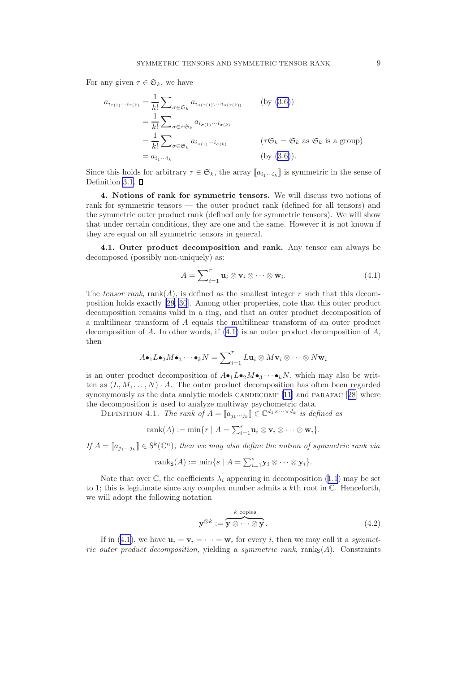<span id="page-9-0"></span>For any given  $\tau \in \mathfrak{S}_k$ , we have

$$
a_{i_{\tau(1)}\cdots i_{\tau(k)}} = \frac{1}{k!} \sum_{\sigma \in \mathfrak{S}_k} a_{i_{\sigma(\tau(1))}\cdots i_{\sigma(\tau(k))}}
$$
 (by (3.6))  
\n
$$
= \frac{1}{k!} \sum_{\sigma \in \tau \mathfrak{S}_k} a_{i_{\sigma(1)}\cdots i_{\sigma(k)}}
$$
  
\n
$$
= \frac{1}{k!} \sum_{\sigma \in \mathfrak{S}_k} a_{i_{\sigma(1)}\cdots i_{\sigma(k)}}
$$
 ( $\tau \mathfrak{S}_k = \mathfrak{S}_k$  as  $\mathfrak{S}_k$  is a group)  
\n
$$
= a_{i_1\cdots i_k}
$$
 (by (3.6)).

Since this holds for arbitrary  $\tau \in \mathfrak{S}_k$ , the array  $[\![a_{i_1\cdots i_k}]\!]$  is symmetric in the sense of Definition [3.1](#page-4-0).  $\square$ 

4. Notions of rank for symmetric tensors. We will discuss two notions of rank for symmetric tensors — the outer product rank (defined for all tensors) and the symmetric outer product rank (defined only for symmetric tensors). We will show that under certain conditions, they are one and the same. However it is not known if they are equal on all symmetric tensors in general.

4.1. Outer product decomposition and rank. Any tensor can always be decomposed (possibly non-uniquely) as:

$$
A = \sum_{i=1}^{r} \mathbf{u}_i \otimes \mathbf{v}_i \otimes \cdots \otimes \mathbf{w}_i.
$$
 (4.1)

The tensor rank, rank(A), is defined as the smallest integer r such that this decomposition holds exactly[[29, 30](#page-25-0)]. Among other properties, note that this outer product decomposition remains valid in a ring, and that an outer product decomposition of a multilinear transform of A equals the multilinear transform of an outer product decomposition of A. In other words, if  $(4.1)$  is an outer product decomposition of A, then

$$
A\bullet_1 L\bullet_2 M\bullet_3 \cdots \bullet_k N = \sum\nolimits_{i=1}^r L\mathbf{u}_i \otimes M\mathbf{v}_i \otimes \cdots \otimes N\mathbf{w}_i
$$

is an outer product decomposition of  $A\bullet_1 L\bullet_2 M\bullet_3 \cdots \bullet_k N$ , which may also be written as  $(L, M, \ldots, N) \cdot A$ . The outer product decomposition has often been regarded synonymously as the data analytic models CANDECOMP  $[11]$  $[11]$  and PARAFAC  $[28]$  $[28]$  where the decomposition is used to analyze multiway psychometric data.

DEFINITION 4.1. The rank of  $A = [a_{j_1 \cdots j_k}] \in \mathbb{C}^{d_1 \times \cdots \times d_k}$  is defined as

$$
rank(A) := \min\{r \mid A = \sum_{i=1}^r \mathbf{u}_i \otimes \mathbf{v}_i \otimes \cdots \otimes \mathbf{w}_i\}.
$$

If  $A = [a_{j_1 \cdots j_k}] \in S^k(\mathbb{C}^n)$ , then we may also define the notion of symmetric rank via

$$
rank_{\mathsf{S}}(A) := \min \{ s \mid A = \sum_{i=1}^{s} \mathbf{y}_i \otimes \cdots \otimes \mathbf{y}_i \}.
$$

Note that over  $\mathbb{C}$ , the coefficients  $\lambda_i$  appearing in decomposition ([1.1](#page-1-0)) may be set to 1; this is legitimate since any complex number admits a  $k$ th root in  $\mathbb{C}$ . Henceforth, we will adopt the following notation

$$
\mathbf{y}^{\otimes k} := \overbrace{\mathbf{y} \otimes \cdots \otimes \mathbf{y}}^{k \text{ copies}}.
$$
 (4.2)

If in (4.1), we have  $\mathbf{u}_i = \mathbf{v}_i = \cdots = \mathbf{w}_i$  for every i, then we may call it a symmetric outer product decomposition, yielding a symmetric rank, ranks(A). Constraints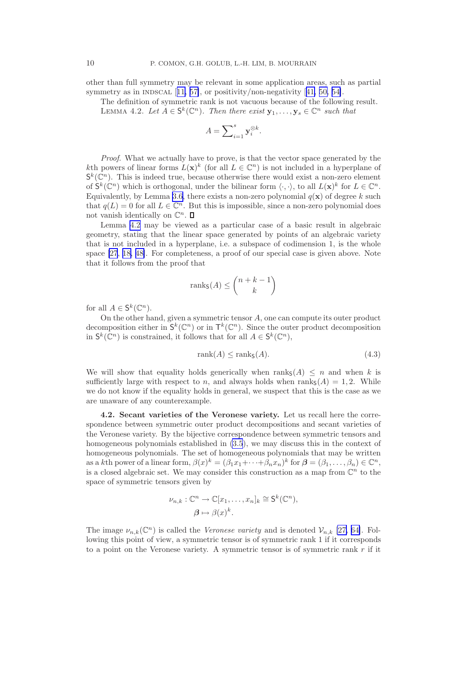<span id="page-10-0"></span>other than full symmetry may be relevant in some application areas, such as partial symmetryas in INDSCAL  $[11, 57]$  $[11, 57]$  $[11, 57]$ , or positivity/non-negativity  $[41, 50, 54]$  $[41, 50, 54]$  $[41, 50, 54]$ .

The definition of symmetric rank is not vacuous because of the following result. LEMMA 4.2. Let  $A \in S^k(\mathbb{C}^n)$ . Then there exist  $\mathbf{y}_1, \ldots, \mathbf{y}_s \in \mathbb{C}^n$  such that

$$
A = \sum\nolimits_{i=1}^s \mathbf{y}_i^{\otimes k}.
$$

Proof. What we actually have to prove, is that the vector space generated by the kth powers of linear forms  $L(\mathbf{x})^k$  (for all  $L \in \mathbb{C}^n$ ) is not included in a hyperplane of  $\mathsf{S}^k(\mathbb{C}^n)$ . This is indeed true, because otherwise there would exist a non-zero element of  $\mathsf{S}^k(\mathbb{C}^n)$  which is orthogonal, under the bilinear form  $\langle \cdot, \cdot \rangle$ , to all  $L(\mathbf{x})^k$  for  $L \in \mathbb{C}^n$ . Equivalently, by Lemma [3.6,](#page-7-0) there exists a non-zero polynomial  $q(\mathbf{x})$  of degree k such that  $q(L) = 0$  for all  $L \in \mathbb{C}^n$ . But this is impossible, since a non-zero polynomial does not vanish identically on  $\mathbb{C}^n$ .

Lemma 4.2 may be viewed as a particular case of a basic result in algebraic geometry, stating that the linear space generated by points of an algebraic variety that is not included in a hyperplane, i.e. a subspace of codimension 1, is the whole space [\[27](#page-25-0), [18, 48\]](#page-25-0). For completeness, a proof of our special case is given above. Note that it follows from the proof that

$$
\text{rank}_{\mathsf{S}}(A) \le \binom{n+k-1}{k}
$$

for all  $A \in \mathsf{S}^k(\mathbb{C}^n)$ .

On the other hand, given a symmetric tensor A, one can compute its outer product decomposition either in  $\mathsf{S}^k(\mathbb{C}^n)$  or in  $\mathsf{T}^k(\mathbb{C}^n)$ . Since the outer product decomposition in  $\mathsf{S}^k(\mathbb{C}^n)$  is constrained, it follows that for all  $A \in \mathsf{S}^k(\mathbb{C}^n)$ ,

$$
rank(A) \le rank_{\mathsf{S}}(A). \tag{4.3}
$$

We will show that equality holds generically when ranks(A)  $\leq n$  and when k is sufficiently large with respect to n, and always holds when  $\text{rank}_S(A) = 1, 2$ . While we do not know if the equality holds in general, we suspect that this is the case as we are unaware of any counterexample.

4.2. Secant varieties of the Veronese variety. Let us recall here the correspondence between symmetric outer product decompositions and secant varieties of the Veronese variety. By the bijective correspondence between symmetric tensors and homogeneous polynomials established in [\(3.5](#page-6-0)), we may discuss this in the context of homogeneous polynomials. The set of homogeneous polynomials that may be written as a kth power of a linear form,  $\beta(x)^k = (\beta_1 x_1 + \cdots + \beta_n x_n)^k$  for  $\beta = (\beta_1, \ldots, \beta_n) \in \mathbb{C}^n$ , is a closed algebraic set. We may consider this construction as a map from  $\mathbb{C}^n$  to the space of symmetric tensors given by

$$
\nu_{n,k}: \mathbb{C}^n \to \mathbb{C}[x_1,\ldots,x_n]_k \cong \mathsf{S}^k(\mathbb{C}^n),
$$

$$
\beta \mapsto \beta(x)^k.
$$

The image  $\nu_{n,k}(\mathbb{C}^n)$  is called the *Veronese variety* and is denoted  $\mathcal{V}_{n,k}$  [\[27,](#page-25-0) [64\]](#page-26-0). Following this point of view, a symmetric tensor is of symmetric rank 1 if it corresponds to a point on the Veronese variety. A symmetric tensor is of symmetric rank  $r$  if it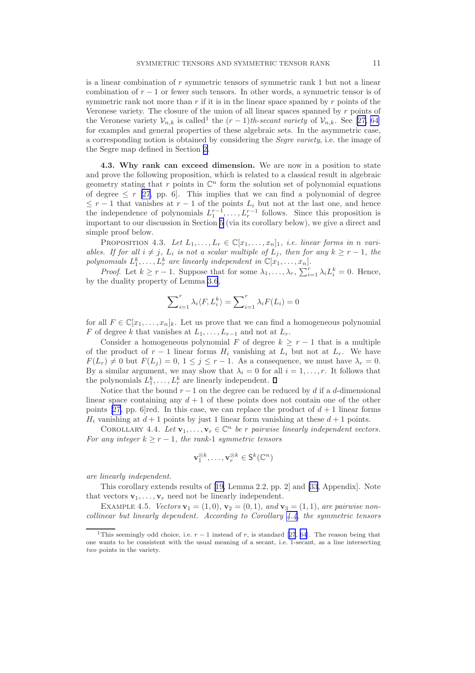<span id="page-11-0"></span>is a linear combination of  $r$  symmetric tensors of symmetric rank 1 but not a linear combination of  $r - 1$  or fewer such tensors. In other words, a symmetric tensor is of symmetric rank not more than  $r$  if it is in the linear space spanned by  $r$  points of the Veronese variety. The closure of the union of all linear spaces spanned by  $r$  points of theVeronese variety  $\mathcal{V}_{n,k}$  is called<sup>1</sup> the  $(r-1)$ th-secant variety of  $\mathcal{V}_{n,k}$ . See [[27,](#page-25-0) [64](#page-26-0)] for examples and general properties of these algebraic sets. In the asymmetric case, a corresponding notion is obtained by considering the Segre variety, i.e. the image of the Segre map defined in Section [2.](#page-2-0)

4.3. Why rank can exceed dimension. We are now in a position to state and prove the following proposition, which is related to a classical result in algebraic geometry stating that  $r$  points in  $\mathbb{C}^n$  form the solution set of polynomial equations of degree  $\leq r$  [\[27](#page-25-0), pp. 6]. This implies that we can find a polynomial of degree  $\leq r-1$  that vanishes at  $r-1$  of the points  $L_i$  but not at the last one, and hence the independence of polynomials  $L_1^{r-1}, \ldots, L_r^{r-1}$  follows. Since this proposition is important to our discussion in Section [5](#page-12-0) (via its corollary below), we give a direct and simple proof below.

PROPOSITION 4.3. Let  $L_1, \ldots, L_r \in \mathbb{C}[x_1, \ldots, x_n]_1$ , i.e. linear forms in n variables. If for all  $i \neq j$ ,  $L_i$  is not a scalar multiple of  $L_j$ , then for any  $k \geq r - 1$ , the polynomials  $L_1^k, \ldots, L_r^k$  are linearly independent in  $\mathbb{C}[x_1, \ldots, x_n]$ .

*Proof.* Let  $k \geq r - 1$ . Suppose that for some  $\lambda_1, \ldots, \lambda_r$ ,  $\sum_{i=1}^r \lambda_i L_i^k = 0$ . Hence, by the duality property of Lemma [3.6](#page-7-0),

$$
\sum\nolimits_{i=1}^r \lambda_i \langle F, L_i^k \rangle = \sum\nolimits_{i=1}^r \lambda_i F(L_i) = 0
$$

for all  $F \in \mathbb{C}[x_1,\ldots,x_n]_k$ . Let us prove that we can find a homogeneous polynomial F of degree k that vanishes at  $L_1, \ldots, L_{r-1}$  and not at  $L_r$ .

Consider a homogeneous polynomial F of degree  $k \geq r - 1$  that is a multiple of the product of  $r-1$  linear forms  $H_i$  vanishing at  $L_i$  but not at  $L_r$ . We have  $F(L_r) \neq 0$  but  $F(L_j) = 0, 1 \leq j \leq r-1$ . As a consequence, we must have  $\lambda_r = 0$ . By a similar argument, we may show that  $\lambda_i = 0$  for all  $i = 1, \ldots, r$ . It follows that the polynomials  $L_1^k, \ldots, L_r^k$  are linearly independent.

Notice that the bound  $r - 1$  on the degree can be reduced by d if a d-dimensional linear space containing any  $d + 1$  of these points does not contain one of the other points [\[27,](#page-25-0) pp. 6]red. In this case, we can replace the product of  $d + 1$  linear forms  $H_i$  vanishing at  $d+1$  points by just 1 linear form vanishing at these  $d+1$  points.

COROLLARY 4.4. Let  $\mathbf{v}_1, \ldots, \mathbf{v}_r \in \mathbb{C}^n$  be r pairwise linearly independent vectors. For any integer  $k \ge r - 1$ , the rank-1 symmetric tensors

$$
\mathbf{v}_1^{\otimes k}, \dots, \mathbf{v}_r^{\otimes k} \in \mathsf{S}^k(\mathbb{C}^n)
$$

are linearly independent.

This corollary extends results of[[19,](#page-25-0) Lemma 2.2, pp. 2] and [\[33](#page-25-0), Appendix]. Note that vectors  $\mathbf{v}_1, \ldots, \mathbf{v}_r$  need not be linearly independent.

EXAMPLE 4.5. Vectors  $v_1 = (1, 0), v_2 = (0, 1),$  and  $v_3 = (1, 1),$  are pairwise noncollinear but linearly dependent. According to Corollary  $4.4$ , the symmetric tensors

<sup>&</sup>lt;sup>1</sup>Thisseemingly odd choice, i.e.  $r-1$  instead of r, is standard [[27](#page-25-0), [64](#page-26-0)]. The reason being that one wants to be consistent with the usual meaning of a secant, i.e. 1-secant, as a line intersecting two points in the variety.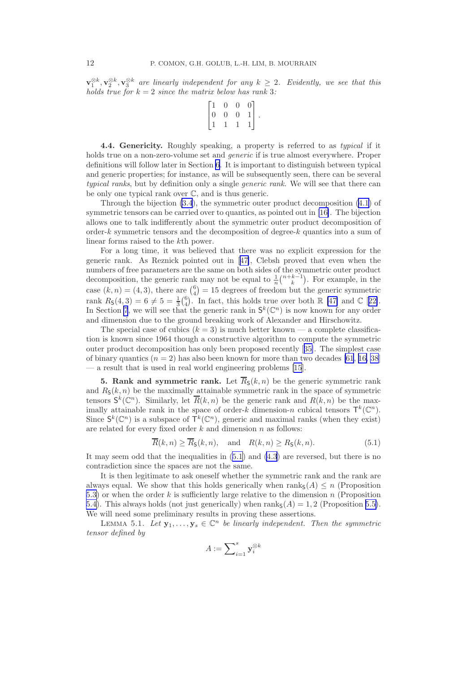<span id="page-12-0"></span> $\mathbf{v}_1^{\otimes k}, \mathbf{v}_2^{\otimes k}, \mathbf{v}_3^{\otimes k}$  are linearly independent for any  $k \geq 2$ . Evidently, we see that this holds true for  $k = 2$  since the matrix below has rank 3:

$$
\begin{bmatrix} 1 & 0 & 0 & 0 \\ 0 & 0 & 0 & 1 \\ 1 & 1 & 1 & 1 \end{bmatrix}.
$$

4.4. Genericity. Roughly speaking, a property is referred to as typical if it holds true on a non-zero-volume set and generic if is true almost everywhere. Proper definitions will follow later in Section [6](#page-16-0). It is important to distinguish between typical and generic properties; for instance, as will be subsequently seen, there can be several typical ranks, but by definition only a single *generic rank*. We will see that there can be only one typical rank over C, and is thus generic.

Through the bijection [\(3.4](#page-6-0)), the symmetric outer product decomposition [\(4.1](#page-9-0)) of symmetric tensors can be carried over to quantics, as pointed out in [\[16\]](#page-24-0). The bijection allows one to talk indifferently about the symmetric outer product decomposition of order-k symmetric tensors and the decomposition of degree-k quantics into a sum of linear forms raised to the kth power.

For a long time, it was believed that there was no explicit expression for the generic rank. As Reznick pointed out in[[47\]](#page-25-0), Clebsh proved that even when the numbers of free parameters are the same on both sides of the symmetric outer product decomposition, the generic rank may not be equal to  $\frac{1}{n} {n+k-1 \choose k}$ . For example, in the case  $(k, n) = (4, 3)$ , there are  $\binom{6}{4} = 15$  degrees of freedom but the generic symmetric rank  $R_5(4,3) = 6 \neq 5 = \frac{1}{3} {6 \choose 4}$ . In fact, this holds true over both  $\mathbb{R} [47]$  $\mathbb{R} [47]$  and  $\mathbb{C} [22]$  $\mathbb{C} [22]$ . In Section [7](#page-19-0), we will see that the generic rank in  $S^k(\mathbb{C}^n)$  is now known for any order and dimension due to the ground breaking work of Alexander and Hirschowitz.

The special case of cubics  $(k = 3)$  is much better known — a complete classification is known since 1964 though a constructive algorithm to compute the symmetric outer product decomposition has only been proposed recently[[35\]](#page-25-0). The simplest case of binary quantics  $(n = 2)$  has also been known for more than two decades [\[61](#page-26-0), [16,](#page-24-0) [38](#page-25-0)] — a result that is used in real world engineering problems [\[15](#page-24-0)].

**5. Rank and symmetric rank.** Let  $\overline{R}_{\mathcal{S}}(k, n)$  be the generic symmetric rank and  $R_{\rm S}(k, n)$  be the maximally attainable symmetric rank in the space of symmetric tensors  $S^k(\mathbb{C}^n)$ . Similarly, let  $\overline{R}(k,n)$  be the generic rank and  $R(k,n)$  be the maximally attainable rank in the space of order-k dimension-n cubical tensors  $\mathsf{T}^k(\mathbb{C}^n)$ . Since  $\mathsf{S}^k(\mathbb{C}^n)$  is a subspace of  $\mathsf{T}^k(\mathbb{C}^n)$ , generic and maximal ranks (when they exist) are related for every fixed order  $k$  and dimension  $n$  as follows:

$$
\overline{R}(k,n) \ge \overline{R}_{\mathsf{S}}(k,n), \quad \text{and} \quad R(k,n) \ge R_{\mathsf{S}}(k,n). \tag{5.1}
$$

It may seem odd that the inequalities in (5.1) and [\(4.3](#page-10-0)) are reversed, but there is no contradiction since the spaces are not the same.

It is then legitimate to ask oneself whether the symmetric rank and the rank are always equal. We show that this holds generically when  $\text{rank}_{\mathsf{S}}(A) \leq n$  (Proposition [5.3\)](#page-14-0) or when the order k is sufficiently large relative to the dimension n (Proposition [5.4\)](#page-14-0). This always holds (not just generically) when  $\text{rank}_{\mathsf{S}}(A) = 1, 2$  (Proposition [5.5\)](#page-15-0). We will need some preliminary results in proving these assertions.

LEMMA 5.1. Let  $\mathbf{y}_1, \ldots, \mathbf{y}_s \in \mathbb{C}^n$  be linearly independent. Then the symmetric tensor defined by

$$
A:=\sum\nolimits_{i=1}^s\mathbf{y}_i^{\otimes k}
$$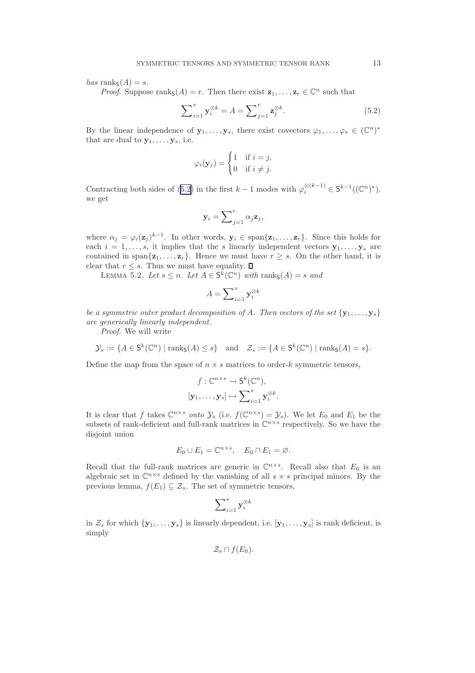<span id="page-13-0"></span>has ranks $(A) = s$ .

*Proof.* Suppose ranks $(A) = r$ . Then there exist  $z_1, \ldots, z_r \in \mathbb{C}^n$  such that

$$
\sum_{i=1}^{s} \mathbf{y}_i^{\otimes k} = A = \sum_{j=1}^{r} \mathbf{z}_j^{\otimes k}.
$$
 (5.2)

By the linear independence of  $\mathbf{y}_1, \ldots, \mathbf{y}_s$ , there exist covectors  $\varphi_1, \ldots, \varphi_s \in (\mathbb{C}^n)^*$ that are dual to  $y_1, \ldots, y_s$ , i.e.

$$
\varphi_i(\mathbf{y}_j) = \begin{cases} 1 & \text{if } i = j, \\ 0 & \text{if } i \neq j. \end{cases}
$$

Contracting both sides of (5.2) in the first  $k-1$  modes with  $\varphi_i^{\otimes (k-1)} \in S^{k-1}((\mathbb{C}^n)^*)$ , we get

$$
\mathbf{y}_i = \sum_{j=1}^r \alpha_j \mathbf{z}_j,
$$

where  $\alpha_j = \varphi_i(\mathbf{z}_j)^{k-1}$ . In other words,  $\mathbf{y}_i \in \text{span}\{\mathbf{z}_1, \ldots, \mathbf{z}_r\}$ . Since this holds for each  $i = 1, \ldots, s$ , it implies that the s linearly independent vectors  $y_1, \ldots, y_s$  are contained in span $\{z_1, \ldots, z_r\}$ . Hence we must have  $r \geq s$ . On the other hand, it is clear that  $r \leq s$ . Thus we must have equality.  $\Box$ 

LEMMA 5.2. Let  $s \leq n$ . Let  $A \in S^k(\mathbb{C}^n)$  with ranks $(A) = s$  and

$$
A = \sum\nolimits_{i=1}^{s} \mathbf{y}_i^{\otimes k}
$$

be a symmetric outer product decomposition of A. Then vectors of the set  $\{y_1, \ldots, y_s\}$ are generically linearly independent.

Proof. We will write

$$
\mathcal{Y}_s := \{ A \in \mathsf{S}^k(\mathbb{C}^n) \mid \text{rank}_{\mathsf{S}}(A) \leq s \}
$$
 and  $\mathcal{Z}_s := \{ A \in \mathsf{S}^k(\mathbb{C}^n) \mid \text{rank}_{\mathsf{S}}(A) = s \}.$ 

Define the map from the space of  $n \times s$  matrices to order-k symmetric tensors,

$$
f: \mathbb{C}^{n \times s} \to \mathsf{S}^k(\mathbb{C}^n),
$$
  

$$
[\mathbf{y}_1, \dots, \mathbf{y}_s] \mapsto \sum_{i=1}^s \mathbf{y}_i^{\otimes k}.
$$

It is clear that f takes  $\mathbb{C}^{n \times s}$  onto  $\mathcal{Y}_s$  (i.e.  $f(\mathbb{C}^{n \times s}) = \mathcal{Y}_s$ ). We let  $E_0$  and  $E_1$  be the subsets of rank-deficient and full-rank matrices in  $\mathbb{C}^{n \times s}$  respectively. So we have the disjoint union

$$
E_0 \cup E_1 = \mathbb{C}^{n \times s}, \quad E_0 \cap E_1 = \varnothing.
$$

Recall that the full-rank matrices are generic in  $\mathbb{C}^{n \times s}$ . Recall also that  $E_0$  is an algebraic set in  $\mathbb{C}^{n \times s}$  defined by the vanishing of all  $s \times s$  principal minors. By the previous lemma,  $f(E_1) \subset \mathcal{Z}_s$ . The set of symmetric tensors,

$$
\sum\nolimits_{i = 1}^s \mathbf{y}_i^{\otimes k}
$$

in  $\mathcal{Z}_s$  for which  $\{y_1, \ldots, y_s\}$  is linearly dependent, i.e.  $[y_1, \ldots, y_s]$  is rank deficient, is simply

$$
\mathcal{Z}_s\cap f(E_0).
$$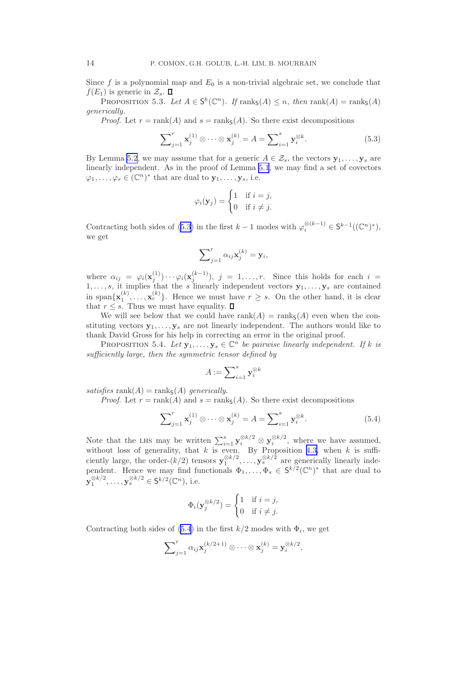<span id="page-14-0"></span>Since  $f$  is a polynomial map and  $E_0$  is a non-trivial algebraic set, we conclude that  $f(E_1)$  is generic in  $\mathcal{Z}_s$ .  $\Box$ 

PROPOSITION 5.3. Let  $A \in S^k(\mathbb{C}^n)$ . If  $\text{rank}_S(A) \leq n$ , then  $\text{rank}(A) = \text{rank}_S(A)$ generically.

*Proof.* Let  $r = \text{rank}(A)$  and  $s = \text{rank}(A)$ . So there exist decompositions

$$
\sum_{j=1}^{r} \mathbf{x}_{j}^{(1)} \otimes \cdots \otimes \mathbf{x}_{j}^{(k)} = A = \sum_{i=1}^{s} \mathbf{y}_{i}^{\otimes k}.
$$
 (5.3)

By Lemma [5.2](#page-13-0), we may assume that for a generic  $A \in \mathcal{Z}_s$ , the vectors  $\mathbf{y}_1, \ldots, \mathbf{y}_s$  are linearly independent. As in the proof of Lemma [5.1](#page-12-0), we may find a set of covectors  $\varphi_1, \ldots, \varphi_s \in (\mathbb{C}^n)^*$  that are dual to  $\mathbf{y}_1, \ldots, \mathbf{y}_s$ , i.e.

$$
\varphi_i(\mathbf{y}_j) = \begin{cases} 1 & \text{if } i = j, \\ 0 & \text{if } i \neq j. \end{cases}
$$

Contracting both sides of (5.3) in the first  $k-1$  modes with  $\varphi_i^{\otimes (k-1)} \in S^{k-1}((\mathbb{C}^n)^*)$ , we get

$$
\sum\nolimits_{j=1}^r \alpha_{ij} \mathbf{x}_j^{(k)} = \mathbf{y}_i,
$$

where  $\alpha_{ij} = \varphi_i(\mathbf{x}_j^{(1)}) \cdots \varphi_i(\mathbf{x}_j^{(k-1)}), j = 1, \ldots, r$ . Since this holds for each  $i =$  $1, \ldots, s$ , it implies that the s linearly independent vectors  $y_1, \ldots, y_s$  are contained in span $\{\mathbf{x}_1^{(k)},\ldots,\mathbf{x}_r^{(k)}\}$ . Hence we must have  $r \geq s$ . On the other hand, it is clear that  $r \leq s$ . Thus we must have equality.  $\Box$ 

We will see below that we could have rank(A) = ranks(A) even when the constituting vectors  $y_1, \ldots, y_s$  are not linearly independent. The authors would like to thank David Gross for his help in correcting an error in the original proof.

PROPOSITION 5.4. Let  $\mathbf{y}_1, \ldots, \mathbf{y}_s \in \mathbb{C}^n$  be pairwise linearly independent. If k is sufficiently large, then the symmetric tensor defined by

$$
A:=\sum\nolimits_{i=1}^s\mathbf{y}_i^{\otimes k}
$$

satisfies  $rank(A) = rank(A)$  generically.

*Proof.* Let  $r = \text{rank}(A)$  and  $s = \text{rank}_{S}(A)$ . So there exist decompositions

$$
\sum_{j=1}^{r} \mathbf{x}_{j}^{(1)} \otimes \cdots \otimes \mathbf{x}_{j}^{(k)} = A = \sum_{i=1}^{s} \mathbf{y}_{i}^{\otimes k}.
$$
 (5.4)

Note that the LHS may be written  $\sum_{i=1}^s \mathbf{y}_i^{\otimes k/2} \otimes \mathbf{y}_i^{\otimes k/2}$ , where we have assumed, without loss of generality, that k is even. By Proposition [4.3,](#page-11-0) when k is sufficiently large, the order- $(k/2)$  tensors  $\mathbf{y}_1^{\otimes k/2}, \ldots, \mathbf{y}_s^{\otimes k/2}$  are generically linearly independent. Hence we may find functionals  $\Phi_1, \ldots, \Phi_s \in S^{k/2}(\mathbb{C}^n)^*$  that are dual to  $\mathbf{y}_1^{\otimes k/2}, \ldots, \mathbf{y}_s^{\otimes k/2} \in \mathsf{S}^{k/2}(\mathbb{C}^n)$ , i.e.

$$
\Phi_i(\mathbf{y}_j^{\otimes k/2}) = \begin{cases} 1 & \text{if } i = j, \\ 0 & \text{if } i \neq j. \end{cases}
$$

Contracting both sides of  $(5.4)$  in the first  $k/2$  modes with  $\Phi_i$ , we get

$$
\sum_{j=1}^r \alpha_{ij} \mathbf{x}_j^{(k/2+1)} \otimes \cdots \otimes \mathbf{x}_j^{(k)} = \mathbf{y}_i^{\otimes k/2},
$$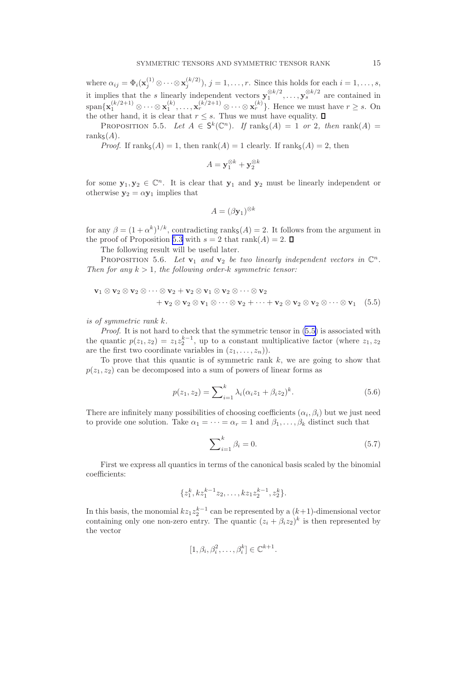<span id="page-15-0"></span>where  $\alpha_{ij} = \Phi_i(\mathbf{x}_j^{(1)} \otimes \cdots \otimes \mathbf{x}_j^{(k/2)}), j = 1, \ldots, r$ . Since this holds for each  $i = 1, \ldots, s$ , j it implies that the s linearly independent vectors  $\mathbf{y}_1^{\otimes k/2}, \ldots, \mathbf{y}_s^{\otimes k/2}$  are contained in  $\text{span}\{\mathbf{x}_1^{(k/2+1)}\otimes\cdots\otimes\mathbf{x}_1^{(k)},\ldots,\mathbf{x}_r^{(k/2+1)}\otimes\cdots\otimes\mathbf{x}_r^{(k)}\}$ . Hence we must have  $r\geq s$ . On the other hand, it is clear that  $r \leq s$ . Thus we must have equality.

PROPOSITION 5.5. Let  $A \in S^k(\mathbb{C}^n)$ . If  $\text{rank}_S(A) = 1$  or 2, then  $\text{rank}(A) =$ rank $\mathsf{s}(A)$ .

*Proof.* If  $\text{rank}_{S}(A) = 1$ , then  $\text{rank}(A) = 1$  clearly. If  $\text{rank}_{S}(A) = 2$ , then

$$
A = \mathbf{y}_1^{\otimes k} + \mathbf{y}_2^{\otimes k}
$$

for some  $y_1, y_2 \in \mathbb{C}^n$ . It is clear that  $y_1$  and  $y_2$  must be linearly independent or otherwise  $y_2 = \alpha y_1$  implies that

$$
A = (\beta \mathbf{y}_1)^{\otimes k}
$$

for any  $\beta = (1 + \alpha^k)^{1/k}$ , contradicting ranks $(A) = 2$ . It follows from the argument in the proof of Proposition [5.3](#page-14-0) with  $s = 2$  that rank $(A) = 2$ .

The following result will be useful later.

PROPOSITION 5.6. Let  $\mathbf{v}_1$  and  $\mathbf{v}_2$  be two linearly independent vectors in  $\mathbb{C}^n$ . Then for any  $k > 1$ , the following order-k symmetric tensor:

$$
\mathbf{v}_1 \otimes \mathbf{v}_2 \otimes \mathbf{v}_2 \otimes \cdots \otimes \mathbf{v}_2 + \mathbf{v}_2 \otimes \mathbf{v}_1 \otimes \mathbf{v}_2 \otimes \cdots \otimes \mathbf{v}_2 + \mathbf{v}_2 \otimes \mathbf{v}_2 \otimes \mathbf{v}_1 \otimes \cdots \otimes \mathbf{v}_2 + \cdots + \mathbf{v}_2 \otimes \mathbf{v}_2 \otimes \mathbf{v}_2 \otimes \cdots \otimes \mathbf{v}_1 \quad (5.5)
$$

is of symmetric rank k.

Proof. It is not hard to check that the symmetric tensor in  $(5.5)$  is associated with the quantic  $p(z_1, z_2) = z_1 z_2^{k-1}$ , up to a constant multiplicative factor (where  $z_1, z_2$ are the first two coordinate variables in  $(z_1, \ldots, z_n)$ .

To prove that this quantic is of symmetric rank  $k$ , we are going to show that  $p(z_1, z_2)$  can be decomposed into a sum of powers of linear forms as

$$
p(z_1, z_2) = \sum_{i=1}^{k} \lambda_i (\alpha_i z_1 + \beta_i z_2)^k.
$$
 (5.6)

There are infinitely many possibilities of choosing coefficients  $(\alpha_i, \beta_i)$  but we just need to provide one solution. Take  $\alpha_1 = \cdots = \alpha_r = 1$  and  $\beta_1, \ldots, \beta_k$  distinct such that

$$
\sum_{i=1}^{k} \beta_i = 0. \tag{5.7}
$$

First we express all quantics in terms of the canonical basis scaled by the binomial coefficients:

$$
\{z_1^k, kz_1^{k-1}z_2, \ldots, kz_1z_2^{k-1}, z_2^k\}.
$$

In this basis, the monomial  $kz_1z_2^{k-1}$  can be represented by a  $(k+1)$ -dimensional vector containing only one non-zero entry. The quantic  $(z_i + \beta_i z_2)^k$  is then represented by the vector

$$
[1, \beta_i, \beta_i^2, \dots, \beta_i^k] \in \mathbb{C}^{k+1}.
$$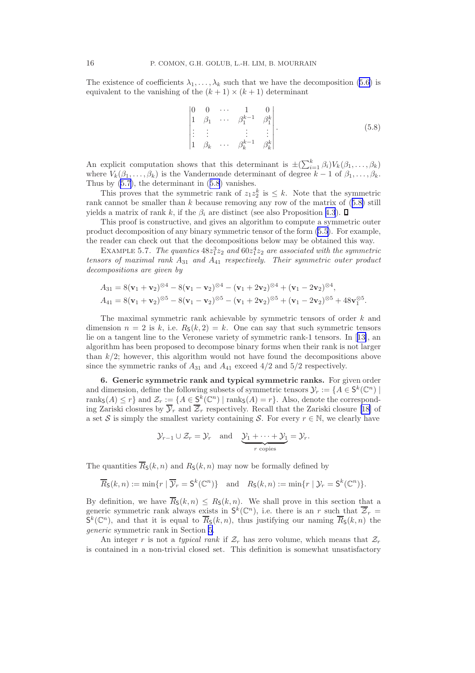<span id="page-16-0"></span>The existence of coefficients  $\lambda_1, \ldots, \lambda_k$  such that we have the decomposition [\(5.6\)](#page-15-0) is equivalent to the vanishing of the  $(k + 1) \times (k + 1)$  determinant

$$
\begin{vmatrix}\n0 & 0 & \cdots & 1 & 0 \\
1 & \beta_1 & \cdots & \beta_1^{k-1} & \beta_1^k \\
\vdots & \vdots & & \vdots & \vdots \\
1 & \beta_k & \cdots & \beta_k^{k-1} & \beta_k^k\n\end{vmatrix}.
$$
\n(5.8)

An explicit computation shows that this determinant is  $\pm (\sum_{i=1}^k \beta_i) V_k(\beta_1, \ldots, \beta_k)$ where  $V_k(\beta_1, \ldots, \beta_k)$  is the Vandermonde determinant of degree  $k-1$  of  $\beta_1, \ldots, \beta_k$ . Thus by [\(5.7\)](#page-15-0), the determinant in (5.8) vanishes.

This proves that the symmetric rank of  $z_1 z_2^k$  is  $\leq k$ . Note that the symmetric rank cannot be smaller than  $k$  because removing any row of the matrix of  $(5.8)$  still yields a matrix of rank k, if the  $\beta_i$  are distinct (see also Proposition [4.3](#page-11-0)).  $\square$ 

This proof is constructive, and gives an algorithm to compute a symmetric outer product decomposition of any binary symmetric tensor of the form [\(5.5\)](#page-15-0). For example, the reader can check out that the decompositions below may be obtained this way.

EXAMPLE 5.7. The quantics  $48z_1^3z_2$  and  $60z_1^4z_2$  are associated with the symmetric tensors of maximal rank  $A_{31}$  and  $A_{41}$  respectively. Their symmetric outer product decompositions are given by

$$
A_{31} = 8(\mathbf{v}_1 + \mathbf{v}_2)^{\otimes 4} - 8(\mathbf{v}_1 - \mathbf{v}_2)^{\otimes 4} - (\mathbf{v}_1 + 2\mathbf{v}_2)^{\otimes 4} + (\mathbf{v}_1 - 2\mathbf{v}_2)^{\otimes 4},
$$
  
\n
$$
A_{41} = 8(\mathbf{v}_1 + \mathbf{v}_2)^{\otimes 5} - 8(\mathbf{v}_1 - \mathbf{v}_2)^{\otimes 5} - (\mathbf{v}_1 + 2\mathbf{v}_2)^{\otimes 5} + (\mathbf{v}_1 - 2\mathbf{v}_2)^{\otimes 5} + 48\mathbf{v}_1^{\otimes 5}.
$$

The maximal symmetric rank achievable by symmetric tensors of order k and dimension  $n = 2$  is k, i.e.  $R<sub>S</sub>(k, 2) = k$ . One can say that such symmetric tensors lie on a tangent line to the Veronese variety of symmetric rank-1 tensors. In[[13\]](#page-24-0), an algorithm has been proposed to decompose binary forms when their rank is not larger than  $k/2$ ; however, this algorithm would not have found the decompositions above since the symmetric ranks of  $A_{31}$  and  $A_{41}$  exceed  $4/2$  and  $5/2$  respectively.

6. Generic symmetric rank and typical symmetric ranks. For given order and dimension, define the following subsets of symmetric tensors  $\mathcal{Y}_r := \{A \in S^k(\mathbb{C}^n) \mid$ ranks $(A) \leq r$  and  $\mathcal{Z}_r := \{A \in S^k(\mathbb{C}^n) \mid \text{rank}_{S}(A) = r\}$ . Also, denote the corresponding Zariski closures by  $\overline{\mathcal{Y}}_r$  and  $\overline{\mathcal{Z}}_r$  respectively. Recall that the Zariski closure [\[18\]](#page-25-0) of a set S is simply the smallest variety containing S. For every  $r \in \mathbb{N}$ , we clearly have

$$
\mathcal{Y}_{r-1} \cup \mathcal{Z}_r = \mathcal{Y}_r
$$
 and  $\underbrace{\mathcal{Y}_1 + \cdots + \mathcal{Y}_1}_{r \text{ copies}} = \mathcal{Y}_r.$ 

The quantities  $\overline{R}_{\mathsf{S}}(k,n)$  and  $R_{\mathsf{S}}(k,n)$  may now be formally defined by

$$
\overline{R}_{\mathsf{S}}(k,n) := \min\{r \mid \overline{\mathcal{Y}}_r = \mathsf{S}^k(\mathbb{C}^n)\} \text{ and } R_{\mathsf{S}}(k,n) := \min\{r \mid \mathcal{Y}_r = \mathsf{S}^k(\mathbb{C}^n)\}.
$$

By definition, we have  $\overline{R}_{\mathsf{S}}(k,n) \leq R_{\mathsf{S}}(k,n)$ . We shall prove in this section that a generic symmetric rank always exists in  $S^k(\mathbb{C}^n)$ , i.e. there is an r such that  $\overline{\mathcal{Z}}_r =$  $\mathsf{S}^k(\mathbb{C}^n)$ , and that it is equal to  $\overline{R}_\mathsf{S}(k,n)$ , thus justifying our naming  $\overline{R}_\mathsf{S}(k,n)$  the generic symmetric rank in Section [5](#page-12-0).

An integer r is not a typical rank if  $\mathcal{Z}_r$  has zero volume, which means that  $\mathcal{Z}_r$ is contained in a non-trivial closed set. This definition is somewhat unsatisfactory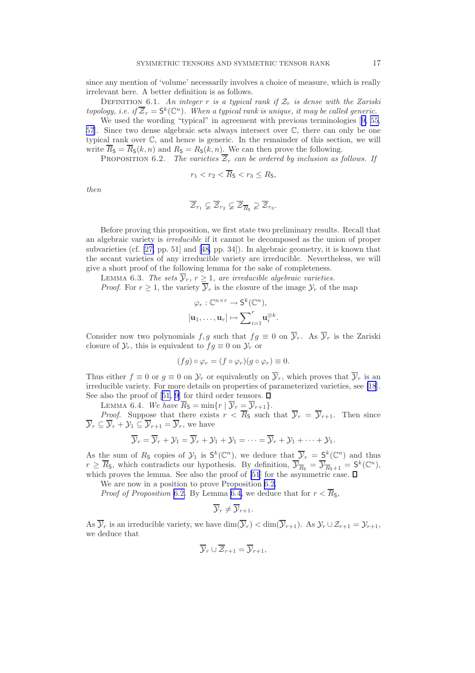since any mention of 'volume' necessarily involves a choice of measure, which is really irrelevant here. A better definition is as follows.

DEFINITION 6.1. An integer r is a typical rank if  $\mathcal{Z}_r$  is dense with the Zariski topology, i.e. if  $\overline{Z}_r = \mathsf{S}^k(\mathbb{C}^n)$ . When a typical rank is unique, it may be called generic.

We used the wording "typical" in agreement with previous terminologies[[9,](#page-24-0) [55](#page-26-0), [57\]](#page-26-0). Since two dense algebraic sets always intersect over C, there can only be one typical rank over C, and hence is generic. In the remainder of this section, we will write  $\overline{R}_{\mathsf{S}} = \overline{R}_{\mathsf{S}}(k,n)$  and  $R_{\mathsf{S}} = R_{\mathsf{S}}(k,n)$ . We can then prove the following.

PROPOSITION 6.2. The varieties  $\overline{Z}_r$  can be ordered by inclusion as follows. If

$$
r_1 < r_2 < \overline{R}_\mathsf{S} < r_3 \leq R_\mathsf{S},
$$

then

$$
\overline{\mathcal Z}_{r_1}\varsubsetneq\overline{\mathcal Z}_{r_2}\varsubsetneq\overline{\mathcal Z}_{\overline{R}_{\mathbb S}}\varsupsetneq\overline{\mathcal Z}_{r_3}.
$$

Before proving this proposition, we first state two preliminary results. Recall that an algebraic variety is irreducible if it cannot be decomposed as the union of proper subvarieties (cf. [\[27,](#page-25-0) pp. 51] and[[48,](#page-25-0) pp. 34]). In algebraic geometry, it is known that the secant varieties of any irreducible variety are irreducible. Nevertheless, we will give a short proof of the following lemma for the sake of completeness.

LEMMA 6.3. The sets  $\mathcal{Y}_r$ ,  $r \geq 1$ , are irreducible algebraic varieties.

*Proof.* For  $r \geq 1$ , the variety  $\mathcal{Y}_r$  is the closure of the image  $\mathcal{Y}_r$  of the map

$$
\varphi_r: \mathbb{C}^{n \times r} \to \mathsf{S}^k(\mathbb{C}^n),
$$

$$
[\mathbf{u}_1, \dots, \mathbf{u}_r] \mapsto \sum\nolimits_{i=1}^r \mathbf{u}_i^{\otimes k}.
$$

Consider now two polynomials f, g such that  $fg \equiv 0$  on  $\overline{Y}_r$ . As  $\overline{Y}_r$  is the Zariski closure of  $\mathcal{Y}_r$ , this is equivalent to  $f \circ g \equiv 0$  on  $\mathcal{Y}_r$  or

$$
(fg) \circ \varphi_r = (f \circ \varphi_r)(g \circ \varphi_r) \equiv 0.
$$

Thus either  $f \equiv 0$  or  $g \equiv 0$  on  $\mathcal{Y}_r$  or equivalently on  $\overline{\mathcal{Y}}_r$ , which proves that  $\overline{\mathcal{Y}}_r$  is an irreducible variety. For more details on properties of parameterized varieties, see [\[18](#page-25-0)]. Seealso the proof of [[51,](#page-26-0) [9\]](#page-24-0) for third order tensors.  $\square$ 

LEMMA 6.4. We have  $\overline{R}_{\mathsf{S}} = \min\{r \mid \overline{\mathcal{Y}}_r = \overline{\mathcal{Y}}_{r+1}\}.$ 

*Proof.* Suppose that there exists  $r < \overline{R}_S$  such that  $\overline{y}_r = \overline{y}_{r+1}$ . Then since  $\overline{\mathcal{Y}}_r \subseteq \overline{\mathcal{Y}}_r + \mathcal{Y}_1 \subseteq \overline{\mathcal{Y}}_{r+1} = \overline{\mathcal{Y}}_r$ , we have

$$
\overline{\mathcal{Y}}_r = \overline{\mathcal{Y}}_r + \mathcal{Y}_1 = \overline{\mathcal{Y}}_r + \mathcal{Y}_1 + \mathcal{Y}_1 = \cdots = \overline{\mathcal{Y}}_r + \mathcal{Y}_1 + \cdots + \mathcal{Y}_1.
$$

As the sum of  $R_5$  copies of  $\mathcal{Y}_1$  is  $S^k(\mathbb{C}^n)$ , we deduce that  $\overline{\mathcal{Y}}_r = \underline{S}^k(\mathbb{C}^n)$  and thus  $r \geq \overline{R}_5$ , which contradicts our hypothesis. By definition,  $\overline{\mathcal{Y}}_{\overline{R}_5} = \overline{\mathcal{Y}}_{\overline{R}_5+1} = \mathsf{S}^k(\mathbb{C}^n)$ , which proves the lemma. See also the proof of [\[51](#page-26-0)] for the asymmetric case.

We are now in a position to prove Proposition 6.2.

*Proof of Proposition* 6.2. By Lemma 6.4, we deduce that for  $r < \overline{R}_s$ ,

$$
\overline{\mathcal{Y}}_r \neq \overline{\mathcal{Y}}_{r+1}.
$$

As  $\overline{\mathcal{Y}}_r$  is an irreducible variety, we have  $\dim(\overline{\mathcal{Y}}_r) < \dim(\overline{\mathcal{Y}}_{r+1})$ . As  $\mathcal{Y}_r \cup \mathcal{Z}_{r+1} = \mathcal{Y}_{r+1}$ , we deduce that

$$
\overline{\mathcal{Y}}_r \cup \overline{\mathcal{Z}}_{r+1} = \overline{\mathcal{Y}}_{r+1},
$$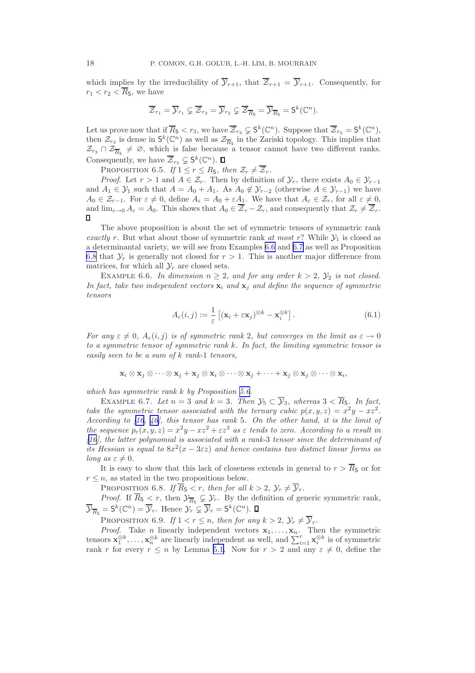<span id="page-18-0"></span>which implies by the irreducibility of  $\overline{\mathcal{Y}}_{r+1}$ , that  $\overline{\mathcal{Z}}_{r+1} = \overline{\mathcal{Y}}_{r+1}$ . Consequently, for  $r_1 < r_2 < \overline{R}_5$ , we have

$$
\overline{\mathcal{Z}}_{r_1}=\overline{\mathcal{Y}}_{r_1}\varsubsetneq \overline{\mathcal{Z}}_{r_2}=\overline{\mathcal{Y}}_{r_2}\varsubsetneq \overline{\mathcal{Z}}_{\overline{R}_{\mathbb{S}}}=\overline{\mathcal{Y}}_{\overline{R}_{\mathbb{S}}}={\sf S}^k(\mathbb{C}^n).
$$

Let us prove now that if  $\overline{R}_5 < r_3$ , we have  $\overline{Z}_{r_3} \subsetneq S^k(\mathbb{C}^n)$ . Suppose that  $\overline{Z}_{r_3} = S^k(\mathbb{C}^n)$ , then  $\mathcal{Z}_{r_3}$  is dense in  $\mathsf{S}^k(\mathbb{C}^n)$  as well as  $\mathcal{Z}_{\overline{R}_5}$  in the Zariski topology. This implies that  $\mathcal{Z}_{r_3} \cap \mathcal{Z}_{\overline{R}_s} \neq \emptyset$ , which is false because a tensor cannot have two different ranks. Consequently, we have  $\overline{Z}_{r_3} \subsetneq \mathsf{S}^k(\mathbb{C}^n)$ .

PROPOSITION 6.5. If  $1 \leq r \leq R_{\mathsf{S}}$ , then  $\mathcal{Z}_r \neq \overline{\mathcal{Z}}_r$ .

*Proof.* Let  $r > 1$  and  $A \in \mathcal{Z}_r$ . Then by definition of  $\mathcal{Y}_r$ , there exists  $A_0 \in \mathcal{Y}_{r-1}$ and  $A_1 \in \mathcal{Y}_1$  such that  $A = A_0 + A_1$ . As  $A_0 \notin \mathcal{Y}_{r-2}$  (otherwise  $A \in \mathcal{Y}_{r-1}$ ) we have  $A_0 \in \mathcal{Z}_{r-1}$ . For  $\varepsilon \neq 0$ , define  $A_{\varepsilon} = A_0 + \varepsilon A_1$ . We have that  $A_{\varepsilon} \in \mathcal{Z}_r$ , for all  $\varepsilon \neq 0$ , and  $\lim_{\varepsilon \to 0} A_{\varepsilon} = A_0$ . This shows that  $A_0 \in \overline{Z}_r - \mathcal{Z}_r$ , and consequently that  $\mathcal{Z}_r \neq \overline{\mathcal{Z}}_r$ .

The above proposition is about the set of symmetric tensors of symmetric rank exactly r. But what about those of symmetric rank at most r? While  $\mathcal{Y}_1$  is closed as a determinantal variety, we will see from Examples 6.6 and 6.7 as well as Proposition 6.8 that  $\mathcal{Y}_r$  is generally not closed for  $r > 1$ . This is another major difference from matrices, for which all  $\mathcal{Y}_r$  are closed sets.

EXAMPLE 6.6. In dimension  $n \geq 2$ , and for any order  $k > 2$ ,  $\mathcal{Y}_2$  is not closed. In fact, take two independent vectors  $\mathbf{x}_i$  and  $\mathbf{x}_j$  and define the sequence of symmetric tensors

$$
A_{\varepsilon}(i,j) := \frac{1}{\varepsilon} \left[ (\mathbf{x}_i + \varepsilon \mathbf{x}_j)^{\otimes k} - \mathbf{x}_i^{\otimes k} \right]. \tag{6.1}
$$

For any  $\varepsilon \neq 0$ ,  $A_{\varepsilon}(i, j)$  is of symmetric rank 2, but converges in the limit as  $\varepsilon \to 0$ to a symmetric tensor of symmetric rank k. In fact, the limiting symmetric tensor is easily seen to be a sum of  $k$  rank-1 tensors,

$$
\mathbf{x}_i\otimes\mathbf{x}_j\otimes\cdots\otimes\mathbf{x}_j+\mathbf{x}_j\otimes\mathbf{x}_i\otimes\cdots\otimes\mathbf{x}_j+\cdots+\mathbf{x}_j\otimes\mathbf{x}_j\otimes\cdots\otimes\mathbf{x}_i,
$$

which has symmetric rank k by Proposition [5.6.](#page-15-0)

EXAMPLE 6.7. Let  $n = 3$  and  $k = 3$ . Then  $\mathcal{Y}_5 \subset \overline{\mathcal{Y}}_3$ , whereas  $3 < \overline{R}_5$ . In fact, take the symmetric tensor associated with the ternary cubic  $p(x, y, z) = x^2y - xz^2$ . According to [\[16](#page-24-0), [46\]](#page-25-0), this tensor has rank 5. On the other hand, it is the limit of the sequence  $p_{\varepsilon}(x, y, z) = x^2y - xz^2 + \varepsilon z^3$  as  $\varepsilon$  tends to zero. According to a result in [\[16](#page-24-0)], the latter polynomial is associated with a rank-3 tensor since the determinant of its Hessian is equal to  $8x^2(x-3\varepsilon z)$  and hence contains two distinct linear forms as long as  $\varepsilon \neq 0$ .

It is easy to show that this lack of closeness extends in general to  $r > \overline{R}_S$  or for  $r \leq n$ , as stated in the two propositions below.

PROPOSITION 6.8. If  $\overline{R}_{\mathsf{S}} < r$ , then for all  $k > 2$ ,  $\mathcal{Y}_r \neq \overline{\mathcal{Y}}_r$ .

*Proof.* If  $R_{\mathsf{S}} < r$ , then  $\mathcal{Y}_{\overline{R}_{\mathsf{S}}} \subsetneq \mathcal{Y}_r$ . By the definition of generic symmetric rank,  $\overline{\mathcal{Y}}_{\overline{R}_{\mathsf{S}}} = \mathsf{S}^k(\mathbb{C}^n) = \overline{\mathcal{Y}}_r$ . Hence  $\mathcal{Y}_r \varsubsetneq \overline{\mathcal{Y}}_r = \mathsf{S}^k(\mathbb{C}^n)$ .

PROPOSITION 6.9. If  $1 < r \leq n$ , then for any  $k > 2$ ,  $\mathcal{Y}_r \neq \overline{\mathcal{Y}}_r$ .

*Proof.* Take *n* linearly independent vectors  $x_1, \ldots, x_n$ . Then the symmetric tensors  $\mathbf{x}_1^{\otimes k}, \ldots, \mathbf{x}_n^{\otimes k}$  are linearly independent as well, and  $\sum_{i=1}^r \mathbf{x}_i^{\otimes k}$  is of symmetric rank r for every  $r \leq n$  by Lemma [5.1.](#page-12-0) Now for  $r > 2$  and any  $\varepsilon \neq 0$ , define the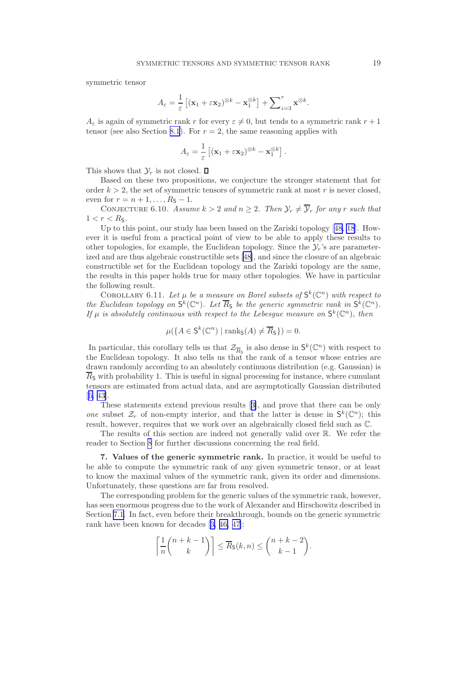<span id="page-19-0"></span>symmetric tensor

$$
A_{\varepsilon} = \frac{1}{\varepsilon} \left[ (\mathbf{x}_1 + \varepsilon \mathbf{x}_2)^{\otimes k} - \mathbf{x}_1^{\otimes k} \right] + \sum_{i=3}^r \mathbf{x}^{\otimes k}.
$$

 $A_{\varepsilon}$  is again of symmetric rank r for every  $\varepsilon \neq 0$ , but tends to a symmetric rank  $r + 1$ tensor (see also Section [8.1](#page-21-0)). For  $r = 2$ , the same reasoning applies with

$$
A_{\varepsilon} = \frac{1}{\varepsilon} \left[ (\mathbf{x}_1 + \varepsilon \mathbf{x}_2)^{\otimes k} - \mathbf{x}_1^{\otimes k} \right].
$$

This shows that  $\mathcal{Y}_r$  is not closed.  $\Box$ 

Based on these two propositions, we conjecture the stronger statement that for order  $k > 2$ , the set of symmetric tensors of symmetric rank at most r is never closed, even for  $r = n + 1, ..., R<sub>S</sub> - 1$ .

CONJECTURE 6.10. Assume  $k > 2$  and  $n \geq 2$ . Then  $\mathcal{Y}_r \neq \overline{\mathcal{Y}}_r$  for any r such that  $1 < r < R_{\rm S}$ .

Up to this point, our study has been based on the Zariski topology[[48, 18](#page-25-0)]. However it is useful from a practical point of view to be able to apply these results to other topologies, for example, the Euclidean topology. Since the  $\mathcal{Y}_r$ 's are parameterized and are thus algebraic constructible sets[[48\]](#page-25-0), and since the closure of an algebraic constructible set for the Euclidean topology and the Zariski topology are the same, the results in this paper holds true for many other topologies. We have in particular the following result.

COROLLARY 6.11. Let  $\mu$  be a measure on Borel subsets of  $\mathsf{S}^k(\mathbb{C}^n)$  with respect to the Euclidean topology on  $\mathsf{S}^k(\mathbb{C}^n)$ . Let  $\overline{R}_\mathsf{S}$  be the generic symmetric rank in  $\mathsf{S}^k(\mathbb{C}^n)$ . If  $\mu$  is absolutely continuous with respect to the Lebesgue measure on  $\mathsf{S}^k(\mathbb{C}^n)$ , then

$$
\mu({A \in \mathsf{S}^k(\mathbb{C}^n) \mid \operatorname{rank}_{\mathsf{S}}(A) \neq \overline{R}_{\mathsf{S}}}) = 0.
$$

In particular, this corollary tells us that  $\mathcal{Z}_{\overline{R}_{5}}$  is also dense in  $\mathsf{S}^{k}(\mathbb{C}^{n})$  with respect to the Euclidean topology. It also tells us that the rank of a tensor whose entries are drawn randomly according to an absolutely continuous distribution (e.g. Gaussian) is  $R<sub>S</sub>$  with probability 1. This is useful in signal processing for instance, where cumulant tensors are estimated from actual data, and are asymptotically Gaussian distributed [[6,](#page-24-0) [43\]](#page-25-0).

These statements extend previous results[[3\]](#page-24-0), and prove that there can be only one subset  $\mathcal{Z}_r$  of non-empty interior, and that the latter is dense in  $\mathsf{S}^k(\mathbb{C}^n)$ ; this result, however, requires that we work over an algebraically closed field such as C.

The results of this section are indeed not generally valid over R. We refer the reader to Section [8](#page-21-0) for further discussions concerning the real field.

7. Values of the generic symmetric rank. In practice, it would be useful to be able to compute the symmetric rank of any given symmetric tensor, or at least to know the maximal values of the symmetric rank, given its order and dimensions. Unfortunately, these questions are far from resolved.

The corresponding problem for the generic values of the symmetric rank, however, has seen enormous progress due to the work of Alexander and Hirschowitz described in Section [7.1](#page-20-0). In fact, even before their breakthrough, bounds on the generic symmetric rank have been known for decades[[3,](#page-24-0) [46, 47\]](#page-25-0):

$$
\left\lceil \frac{1}{n} {n+k-1 \choose k} \right\rceil \le \overline{R}_{\mathsf{S}}(k,n) \le {n+k-2 \choose k-1}.
$$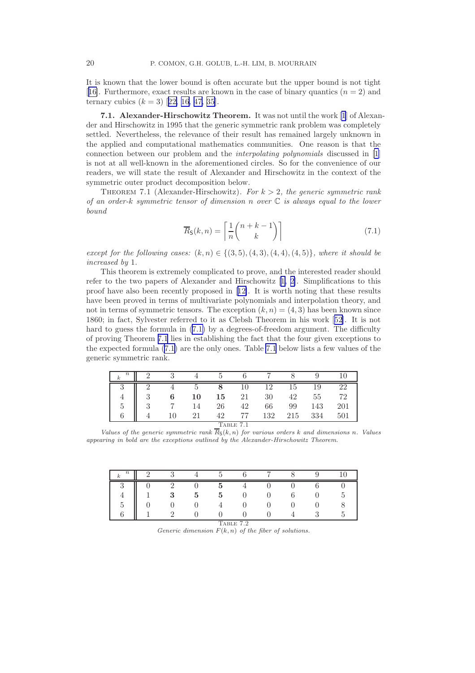<span id="page-20-0"></span>It is known that the lower bound is often accurate but the upper bound is not tight [[16\]](#page-24-0). Furthermore, exact results are known in the case of binary quantics  $(n = 2)$  and ternarycubics  $(k = 3)$  [[22,](#page-25-0) [16,](#page-24-0) [47, 35\]](#page-25-0).

7.1. Alexander-Hirschowitz Theorem. It was not until the work [\[1](#page-24-0)] of Alexander and Hirschowitz in 1995 that the generic symmetric rank problem was completely settled. Nevertheless, the relevance of their result has remained largely unknown in the applied and computational mathematics communities. One reason is that the connection between our problem and the interpolating polynomials discussed in [\[1](#page-24-0)] is not at all well-known in the aforementioned circles. So for the convenience of our readers, we will state the result of Alexander and Hirschowitz in the context of the symmetric outer product decomposition below.

THEOREM 7.1 (Alexander-Hirschowitz). For  $k > 2$ , the generic symmetric rank of an order-k symmetric tensor of dimension n over  $\mathbb C$  is always equal to the lower bound

$$
\overline{R}_{\mathsf{S}}(k,n) = \left\lceil \frac{1}{n} {n+k-1 \choose k} \right\rceil \tag{7.1}
$$

except for the following cases:  $(k, n) \in \{(3, 5), (4, 3), (4, 4), (4, 5)\}\,$ , where it should be increased by 1.

This theorem is extremely complicated to prove, and the interested reader should refer to the two papers of Alexander and Hirschowitz[[1, 2\]](#page-24-0). Simplifications to this proof have also been recently proposed in[[12\]](#page-24-0). It is worth noting that these results have been proved in terms of multivariate polynomials and interpolation theory, and not in terms of symmetric tensors. The exception  $(k, n) = (4, 3)$  has been known since 1860; in fact, Sylvester referred to it as Clebsh Theorem in his work[[52\]](#page-26-0). It is not hard to guess the formula in  $(7.1)$  by a degrees-of-freedom argument. The difficulty of proving Theorem 7.1 lies in establishing the fact that the four given exceptions to the expected formula (7.1) are the only ones. Table 7.1 below lists a few values of the generic symmetric rank.

| $\, n$<br>$\boldsymbol{k}$ |   | 61 |    |    |    |     |     |     |     |  |
|----------------------------|---|----|----|----|----|-----|-----|-----|-----|--|
| υ                          |   |    | G  |    |    | 19  | ŢР  | 19  | 22  |  |
|                            | 3 | 6  | 10 | 15 | 21 | 30  | 42  | 55  | 79  |  |
| 5                          | 3 |    | 14 | 26 | 42 | 66  | 99  | 143 | 201 |  |
|                            |   |    | 21 | 42 |    | 132 | 215 | 334 | 501 |  |
| TABLE 7.1                  |   |    |    |    |    |     |     |     |     |  |

Values of the generic symmetric rank  $\overline{R}_5(k,n)$  for various orders k and dimensions n. Values appearing in bold are the exceptions outlined by the Alexander-Hirschowitz Theorem.

| $\boldsymbol{n}$                        |  |  |  |   |  |  |  |  |  |  |
|-----------------------------------------|--|--|--|---|--|--|--|--|--|--|
|                                         |  |  |  |   |  |  |  |  |  |  |
|                                         |  |  |  | h |  |  |  |  |  |  |
|                                         |  |  |  |   |  |  |  |  |  |  |
|                                         |  |  |  |   |  |  |  |  |  |  |
| $\overline{ }$<br>$\Omega$<br>⇁<br>ABLE |  |  |  |   |  |  |  |  |  |  |

Generic dimension  $F(k, n)$  of the fiber of solutions.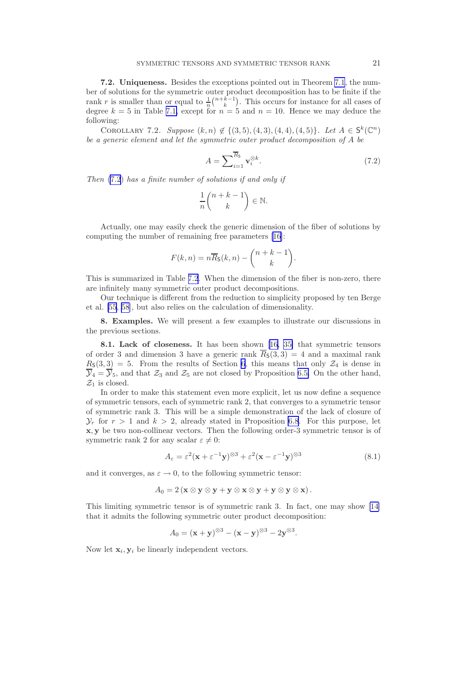<span id="page-21-0"></span>7.2. Uniqueness. Besides the exceptions pointed out in Theorem [7.1](#page-20-0), the number of solutions for the symmetric outer product decomposition has to be finite if the rank r is smaller than or equal to  $\frac{1}{n} {n+k-1 \choose k}$ . This occurs for instance for all cases of degree  $k = 5$  in Table [7.1,](#page-20-0) except for  $n = 5$  and  $n = 10$ . Hence we may deduce the following:

COROLLARY 7.2. Suppose  $(k, n) \notin \{(3, 5), (4, 3), (4, 4), (4, 5)\}$ . Let  $A \in S^k(\mathbb{C}^n)$ be a generic element and let the symmetric outer product decomposition of A be

$$
A = \sum_{i=1}^{\overline{R}_{\mathsf{S}}} \mathbf{v}_i^{\otimes k}.
$$
 (7.2)

Then (7.2) has a finite number of solutions if and only if

$$
\frac{1}{n} \binom{n+k-1}{k} \in \mathbb{N}.
$$

Actually, one may easily check the generic dimension of the fiber of solutions by computing the number of remaining free parameters[[16\]](#page-24-0):

$$
F(k,n) = n\overline{R}_{\mathsf{S}}(k,n) - \binom{n+k-1}{k}.
$$

This is summarized in Table [7.2](#page-20-0). When the dimension of the fiber is non-zero, there are infinitely many symmetric outer product decompositions.

Our technique is different from the reduction to simplicity proposed by ten Berge et al. [\[55](#page-26-0), [58](#page-26-0)], but also relies on the calculation of dimensionality.

8. Examples. We will present a few examples to illustrate our discussions in the previous sections.

8.1. Lack of closeness. It has been shown[[16,](#page-24-0) [35\]](#page-25-0) that symmetric tensors of order 3 and dimension 3 have a generic rank  $\overline{R}_5(3,3) = 4$  and a maximal rank  $R_{\rm S}(3,3) = 5$ . From the results of Section [6](#page-16-0), this means that only  $\mathcal{Z}_4$  is dense in  $\overline{y}_4 = \overline{y}_5$ , and that  $\mathcal{Z}_3$  and  $\mathcal{Z}_5$  are not closed by Proposition [6.5.](#page-18-0) On the other hand,  $\mathcal{Z}_1$  is closed.

In order to make this statement even more explicit, let us now define a sequence of symmetric tensors, each of symmetric rank 2, that converges to a symmetric tensor of symmetric rank 3. This will be a simple demonstration of the lack of closure of  $\mathcal{Y}_r$  for  $r > 1$  and  $k > 2$ , already stated in Proposition [6.8](#page-18-0). For this purpose, let x, y be two non-collinear vectors. Then the following order-3 symmetric tensor is of symmetric rank 2 for any scalar  $\varepsilon \neq 0$ :

$$
A_{\varepsilon} = \varepsilon^2 (\mathbf{x} + \varepsilon^{-1} \mathbf{y})^{\otimes 3} + \varepsilon^2 (\mathbf{x} - \varepsilon^{-1} \mathbf{y})^{\otimes 3}
$$
(8.1)

and it converges, as  $\varepsilon \to 0$ , to the following symmetric tensor:

$$
A_0 = 2 (\mathbf{x} \otimes \mathbf{y} \otimes \mathbf{y} + \mathbf{y} \otimes \mathbf{x} \otimes \mathbf{y} + \mathbf{y} \otimes \mathbf{y} \otimes \mathbf{x}).
$$

This limiting symmetric tensor is of symmetric rank 3. In fact, one may show [\[14](#page-24-0)] that it admits the following symmetric outer product decomposition:

$$
A_0 = (\mathbf{x} + \mathbf{y})^{\otimes 3} - (\mathbf{x} - \mathbf{y})^{\otimes 3} - 2\mathbf{y}^{\otimes 3}.
$$

Now let  $\mathbf{x}_i, \mathbf{y}_i$  be linearly independent vectors.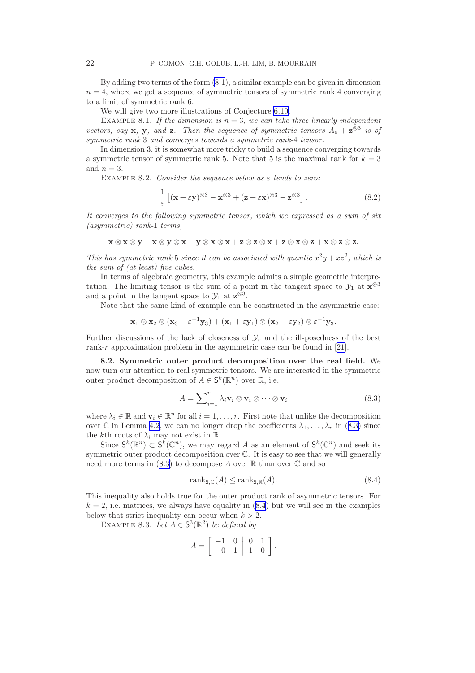<span id="page-22-0"></span>By adding two terms of the form [\(8.1](#page-21-0)), a similar example can be given in dimension  $n = 4$ , where we get a sequence of symmetric tensors of symmetric rank 4 converging to a limit of symmetric rank 6.

We will give two more illustrations of Conjecture [6.10](#page-19-0).

EXAMPLE 8.1. If the dimension is  $n = 3$ , we can take three linearly independent vectors, say **x**, **y**, and **z**. Then the sequence of symmetric tensors  $A_{\varepsilon} + \mathbf{z}^{\otimes 3}$  is of symmetric rank 3 and converges towards a symmetric rank-4 tensor.

In dimension 3, it is somewhat more tricky to build a sequence converging towards a symmetric tensor of symmetric rank 5. Note that 5 is the maximal rank for  $k = 3$ and  $n = 3$ .

EXAMPLE 8.2. Consider the sequence below as  $\varepsilon$  tends to zero:

$$
\frac{1}{\varepsilon} \left[ (\mathbf{x} + \varepsilon \mathbf{y})^{\otimes 3} - \mathbf{x}^{\otimes 3} + (\mathbf{z} + \varepsilon \mathbf{x})^{\otimes 3} - \mathbf{z}^{\otimes 3} \right]. \tag{8.2}
$$

It converges to the following symmetric tensor, which we expressed as a sum of six (asymmetric) rank-1 terms,

$$
x\otimes x\otimes y + x\otimes y\otimes x + y\otimes x\otimes x + z\otimes z\otimes x + z\otimes x\otimes z + x\otimes z\otimes z.
$$

This has symmetric rank 5 since it can be associated with quantic  $x^2y + xz^2$ , which is the sum of (at least) five cubes.

In terms of algebraic geometry, this example admits a simple geometric interpretation. The limiting tensor is the sum of a point in the tangent space to  $\mathcal{Y}_1$  at  $\mathbf{x}^{\otimes 3}$ and a point in the tangent space to  $\mathcal{Y}_1$  at  $\mathbf{z}^{\otimes 3}$ .

Note that the same kind of example can be constructed in the asymmetric case:

$$
\mathbf{x}_1 \otimes \mathbf{x}_2 \otimes (\mathbf{x}_3 - \varepsilon^{-1} \mathbf{y}_3) + (\mathbf{x}_1 + \varepsilon \mathbf{y}_1) \otimes (\mathbf{x}_2 + \varepsilon \mathbf{y}_2) \otimes \varepsilon^{-1} \mathbf{y}_3.
$$

Further discussions of the lack of closeness of  $\mathcal{Y}_r$  and the ill-posedness of the best rank-r approximation problem in the asymmetric case can be found in [[21\]](#page-25-0).

8.2. Symmetric outer product decomposition over the real field. We now turn our attention to real symmetric tensors. We are interested in the symmetric outer product decomposition of  $A \in \mathsf{S}^k(\mathbb{R}^n)$  over  $\mathbb{R}$ , i.e.

$$
A = \sum_{i=1}^{r} \lambda_i \mathbf{v}_i \otimes \mathbf{v}_i \otimes \cdots \otimes \mathbf{v}_i
$$
 (8.3)

where  $\lambda_i \in \mathbb{R}$  and  $\mathbf{v}_i \in \mathbb{R}^n$  for all  $i = 1, \ldots, r$ . First note that unlike the decomposition over C in Lemma [4.2](#page-10-0), we can no longer drop the coefficients  $\lambda_1, \ldots, \lambda_r$  in (8.3) since the kth roots of  $\lambda_i$  may not exist in R.

Since  $\mathsf{S}^k(\mathbb{R}^n) \subset \mathsf{S}^k(\mathbb{C}^n)$ , we may regard A as an element of  $\mathsf{S}^k(\mathbb{C}^n)$  and seek its symmetric outer product decomposition over C. It is easy to see that we will generally need more terms in  $(8.3)$  to decompose A over R than over C and so

$$
rank_{\mathsf{S}, \mathbb{C}}(A) \le rank_{\mathsf{S}, \mathbb{R}}(A). \tag{8.4}
$$

This inequality also holds true for the outer product rank of asymmetric tensors. For  $k = 2$ , i.e. matrices, we always have equality in  $(8.4)$  but we will see in the examples below that strict inequality can occur when  $k > 2$ .

EXAMPLE 8.3. Let  $A \in S^3(\mathbb{R}^2)$  be defined by

$$
A = \left[ \begin{array}{rrr} -1 & 0 & 0 & 1 \\ 0 & 1 & 1 & 0 \end{array} \right].
$$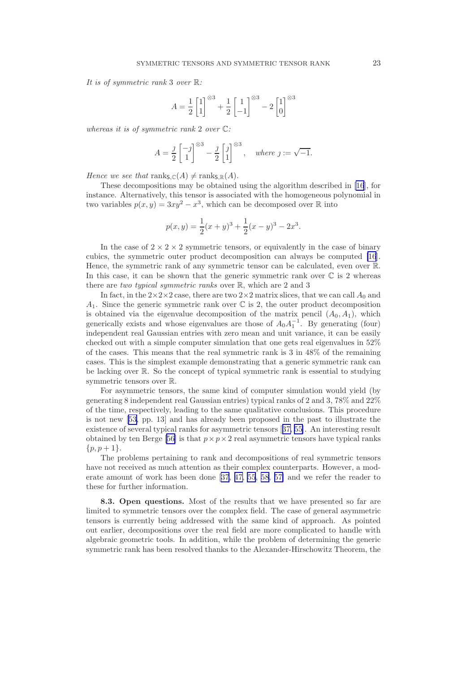It is of symmetric rank 3 over  $\mathbb{R}$ :

$$
A = \frac{1}{2} \begin{bmatrix} 1 \\ 1 \end{bmatrix}^{\otimes 3} + \frac{1}{2} \begin{bmatrix} 1 \\ -1 \end{bmatrix}^{\otimes 3} - 2 \begin{bmatrix} 1 \\ 0 \end{bmatrix}^{\otimes 3}
$$

whereas it is of symmetric rank 2 over C:

$$
A = \frac{j}{2} \begin{bmatrix} -j \\ 1 \end{bmatrix}^{\otimes 3} - \frac{j}{2} \begin{bmatrix} j \\ 1 \end{bmatrix}^{\otimes 3}, \quad \text{where } j := \sqrt{-1}.
$$

Hence we see that ranks,  $\mathcal{C}(A) \neq \text{rank}_{\mathsf{S},\mathbb{R}}(A)$ .

These decompositions may be obtained using the algorithm described in [\[16](#page-24-0)], for instance. Alternatively, this tensor is associated with the homogeneous polynomial in two variables  $p(x, y) = 3xy^2 - x^3$ , which can be decomposed over R into

$$
p(x,y) = \frac{1}{2}(x+y)^3 + \frac{1}{2}(x-y)^3 - 2x^3.
$$

In the case of  $2 \times 2 \times 2$  symmetric tensors, or equivalently in the case of binary cubics, the symmetric outer product decomposition can always be computed [\[16](#page-24-0)]. Hence, the symmetric rank of any symmetric tensor can be calculated, even over R. In this case, it can be shown that the generic symmetric rank over  $\mathbb C$  is 2 whereas there are two typical symmetric ranks over R, which are 2 and 3

In fact, in the  $2\times2\times2$  case, there are two  $2\times2$  matrix slices, that we can call  $A_0$  and  $A_1$ . Since the generic symmetric rank over  $\mathbb C$  is 2, the outer product decomposition is obtained via the eigenvalue decomposition of the matrix pencil  $(A_0, A_1)$ , which generically exists and whose eigenvalues are those of  $A_0A_1^{-1}$ . By generating (four) independent real Gaussian entries with zero mean and unit variance, it can be easily checked out with a simple computer simulation that one gets real eigenvalues in 52% of the cases. This means that the real symmetric rank is 3 in 48% of the remaining cases. This is the simplest example demonstrating that a generic symmetric rank can be lacking over R. So the concept of typical symmetric rank is essential to studying symmetric tensors over R.

For asymmetric tensors, the same kind of computer simulation would yield (by generating 8 independent real Gaussian entries) typical ranks of 2 and 3, 78% and 22% of the time, respectively, leading to the same qualitative conclusions. This procedure is not new [\[53](#page-26-0), pp. 13] and has already been proposed in the past to illustrate the existence of several typical ranks for asymmetric tensors[[37,](#page-25-0) [55\]](#page-26-0). An interesting result obtainedby ten Berge [[56\]](#page-26-0) is that  $p \times p \times 2$  real asymmetric tensors have typical ranks  $\{p, p+1\}.$ 

The problems pertaining to rank and decompositions of real symmetric tensors have not received as much attention as their complex counterparts. However, a moderate amount of work has been done[[37, 47,](#page-25-0) [55](#page-26-0), [58, 57\]](#page-26-0) and we refer the reader to these for further information.

8.3. Open questions. Most of the results that we have presented so far are limited to symmetric tensors over the complex field. The case of general asymmetric tensors is currently being addressed with the same kind of approach. As pointed out earlier, decompositions over the real field are more complicated to handle with algebraic geometric tools. In addition, while the problem of determining the generic symmetric rank has been resolved thanks to the Alexander-Hirschowitz Theorem, the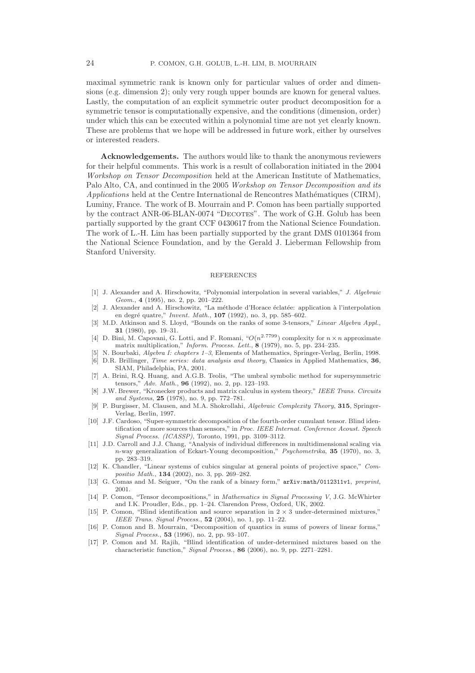<span id="page-24-0"></span>maximal symmetric rank is known only for particular values of order and dimensions (e.g. dimension 2); only very rough upper bounds are known for general values. Lastly, the computation of an explicit symmetric outer product decomposition for a symmetric tensor is computationally expensive, and the conditions (dimension, order) under which this can be executed within a polynomial time are not yet clearly known. These are problems that we hope will be addressed in future work, either by ourselves or interested readers.

Acknowledgements. The authors would like to thank the anonymous reviewers for their helpful comments. This work is a result of collaboration initiated in the 2004 Workshop on Tensor Decomposition held at the American Institute of Mathematics, Palo Alto, CA, and continued in the 2005 Workshop on Tensor Decomposition and its  $Applications$  held at the Centre International de Rencontres Mathématiques (CIRM), Luminy, France. The work of B. Mourrain and P. Comon has been partially supported by the contract ANR-06-BLAN-0074 "DECOTES". The work of G.H. Golub has been partially supported by the grant CCF 0430617 from the National Science Foundation. The work of L.-H. Lim has been partially supported by the grant DMS 0101364 from the National Science Foundation, and by the Gerald J. Lieberman Fellowship from Stanford University.

#### **REFERENCES**

- [1] J. Alexander and A. Hirschowitz, "Polynomial interpolation in several variables," J. Algebraic Geom., 4 (1995), no. 2, pp. 201–222.
- [2] J. Alexander and A. Hirschowitz, "La m´ethode d'Horace ´eclat´ee: application `a l'interpolation en degré quatre," Invent. Math., 107 (1992), no. 3, pp. 585–602.
- [3] M.D. Atkinson and S. Lloyd, "Bounds on the ranks of some 3-tensors," Linear Algebra Appl., 31 (1980), pp. 19–31.
- [4] D. Bini, M. Capovani, G. Lotti, and F. Romani, " $O(n^{2.7799})$  complexity for  $n \times n$  approximate matrix multiplication," Inform. Process. Lett., 8 (1979), no. 5, pp. 234–235.
- [5] N. Bourbaki, Algebra I: chapters 1–3, Elements of Mathematics, Springer-Verlag, Berlin, 1998. [6] D.R. Brillinger, Time series: data analysis and theory, Classics in Applied Mathematics, 36,
- SIAM, Philadelphia, PA, 2001.
- [7] A. Brini, R.Q. Huang, and A.G.B. Teolis, "The umbral symbolic method for supersymmetric tensors," Adv. Math., 96 (1992), no. 2, pp. 123–193.
- [8] J.W. Brewer, "Kronecker products and matrix calculus in system theory," IEEE Trans. Circuits and Systems, 25 (1978), no. 9, pp. 772–781.
- [9] P. Burgisser, M. Clausen, and M.A. Shokrollahi, Algebraic Complexity Theory, 315, Springer-Verlag, Berlin, 1997.
- [10] J.F. Cardoso, "Super-symmetric decomposition of the fourth-order cumulant tensor. Blind identification of more sources than sensors," in Proc. IEEE Internat. Conference Acoust. Speech Signal Process. (ICASSP), Toronto, 1991, pp. 3109–3112.
- [11] J.D. Carroll and J.J. Chang, "Analysis of individual differences in multidimensional scaling via n-way generalization of Eckart-Young decomposition," Psychometrika, 35 (1970), no. 3, pp. 283–319.
- [12] K. Chandler, "Linear systems of cubics singular at general points of projective space," Compositio Math., 134 (2002), no. 3, pp. 269–282.
- [13] G. Comas and M. Seiguer, "On the rank of a binary form," arXiv:math/0112311v1, preprint, 2001.
- [14] P. Comon, "Tensor decompositions," in Mathematics in Signal Processing V, J.G. McWhirter and I.K. Proudler, Eds., pp. 1–24. Clarendon Press, Oxford, UK, 2002.
- [15] P. Comon, "Blind identification and source separation in  $2 \times 3$  under-determined mixtures," IEEE Trans. Signal Process., 52 (2004), no. 1, pp. 11–22.
- [16] P. Comon and B. Mourrain, "Decomposition of quantics in sums of powers of linear forms," Signal Process., 53 (1996), no. 2, pp. 93–107.
- [17] P. Comon and M. Rajih, "Blind identification of under-determined mixtures based on the characteristic function," Signal Process., 86 (2006), no. 9, pp. 2271–2281.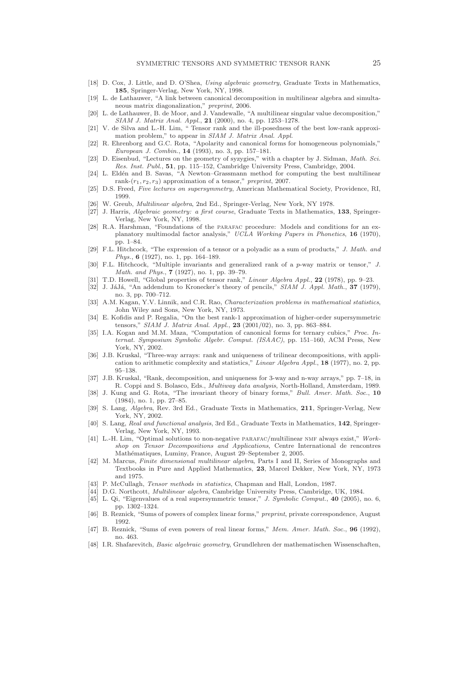- <span id="page-25-0"></span>[18] D. Cox, J. Little, and D. O'Shea, Using algebraic geometry, Graduate Texts in Mathematics, 185, Springer-Verlag, New York, NY, 1998.
- [19] L. de Lathauwer, "A link between canonical decomposition in multilinear algebra and simultaneous matrix diagonalization," preprint, 2006.
- [20] L. de Lathauwer, B. de Moor, and J. Vandewalle, "A multilinear singular value decomposition," SIAM J. Matrix Anal. Appl., 21 (2000), no. 4, pp. 1253–1278.
- [21] V. de Silva and L.-H. Lim, " Tensor rank and the ill-posedness of the best low-rank approximation problem," to appear in SIAM J. Matrix Anal. Appl.
- [22] R. Ehrenborg and G.C. Rota, "Apolarity and canonical forms for homogeneous polynomials," European J. Combin., 14 (1993), no. 3, pp. 157–181.
- [23] D. Eisenbud, "Lectures on the geometry of syzygies," with a chapter by J. Sidman, Math. Sci. Res. Inst. Publ., 51, pp. 115–152, Cambridge University Press, Cambridge, 2004.
- [24] L. Eldén and B. Savas, "A Newton–Grassmann method for computing the best multilinear rank- $(r_1, r_2, r_3)$  approximation of a tensor," preprint, 2007.
- [25] D.S. Freed, Five lectures on supersymmetry, American Mathematical Society, Providence, RI, 1999.
- [26] W. Greub, Multilinear algebra, 2nd Ed., Springer-Verlag, New York, NY 1978.
- [27] J. Harris, Algebraic geometry: a first course, Graduate Texts in Mathematics, 133, Springer-Verlag, New York, NY, 1998.
- [28] R.A. Harshman, "Foundations of the parafac procedure: Models and conditions for an explanatory multimodal factor analysis," UCLA Working Papers in Phonetics, 16 (1970), pp. 1–84.
- [29] F.L. Hitchcock, "The expression of a tensor or a polyadic as a sum of products," J. Math. and Phys., 6 (1927), no. 1, pp. 164–189.
- [30] F.L. Hitchcock, "Multiple invariants and generalized rank of a p-way matrix or tensor," J. Math. and Phys., 7 (1927), no. 1, pp. 39–79.
- [31] T.D. Howell, "Global properties of tensor rank," Linear Algebra Appl., 22 (1978), pp. 9–23.
- [32] J. JáJá, "An addendum to Kronecker's theory of pencils," SIAM J. Appl. Math., 37 (1979), no. 3, pp. 700–712.
- [33] A.M. Kagan, Y.V. Linnik, and C.R. Rao, *Characterization problems in mathematical statistics*, John Wiley and Sons, New York, NY, 1973.
- [34] E. Kofidis and P. Regalia, "On the best rank-1 approximation of higher-order supersymmetric tensors," SIAM J. Matrix Anal. Appl., 23 (2001/02), no. 3, pp. 863–884.
- [35] I.A. Kogan and M.M. Maza, "Computation of canonical forms for ternary cubics," Proc. Internat. Symposium Symbolic Algebr. Comput. (ISAAC), pp. 151–160, ACM Press, New York, NY, 2002.
- [36] J.B. Kruskal, "Three-way arrays: rank and uniqueness of trilinear decompositions, with application to arithmetic complexity and statistics," Linear Algebra Appl., 18 (1977), no. 2, pp. 95–138.
- [37] J.B. Kruskal, "Rank, decomposition, and uniqueness for 3-way and n-way arrays," pp. 7–18, in R. Coppi and S. Bolasco, Eds., Multiway data analysis, North-Holland, Amsterdam, 1989.
- [38] J. Kung and G. Rota, "The invariant theory of binary forms," Bull. Amer. Math. Soc., 10 (1984), no. 1, pp. 27–85.
- [39] S. Lang, Algebra, Rev. 3rd Ed., Graduate Texts in Mathematics, 211, Springer-Verlag, New York, NY, 2002.
- [40] S. Lang, Real and functional analysis, 3rd Ed., Graduate Texts in Mathematics, 142, Springer-Verlag, New York, NY, 1993.
- [41] L.-H. Lim, "Optimal solutions to non-negative parafac/multilinear nmf always exist," Workshop on Tensor Decompositions and Applications, Centre International de rencontres Mathématiques, Luminy, France, August 29–September 2, 2005.
- [42] M. Marcus, Finite dimensional multilinear algebra, Parts I and II, Series of Monographs and Textbooks in Pure and Applied Mathematics, 23, Marcel Dekker, New York, NY, 1973 and 1975.
- [43] P. McCullagh, *Tensor methods in statistics*, Chapman and Hall, London, 1987.
- [44] D.G. Northcott, Multilinear algebra, Cambridge University Press, Cambridge, UK, 1984.
- [45] L. Qi, "Eigenvalues of a real supersymmetric tensor," J. Symbolic Comput., 40 (2005), no. 6, pp. 1302–1324.
- [46] B. Reznick, "Sums of powers of complex linear forms," preprint, private correspondence, August 1992.
- [47] B. Reznick, "Sums of even powers of real linear forms," Mem. Amer. Math. Soc., 96 (1992), no. 463.
- [48] I.R. Shafarevitch, Basic algebraic geometry, Grundlehren der mathematischen Wissenschaften,